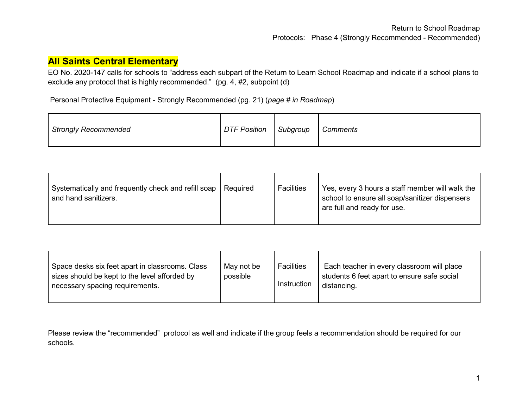## **All Saints Central Elementary**

EO No. 2020-147 calls for schools to "address each subpart of the Return to Learn School Roadmap and indicate if a school plans to exclude any protocol that is highly recommended." (pg. 4, #2, subpoint (d)

Personal Protective Equipment - Strongly Recommended (pg. 21) (*page # in Roadmap*)

| <b>Strongly Recommended</b> | <b>DTF Position</b> | Subgroup | Comments |
|-----------------------------|---------------------|----------|----------|
|-----------------------------|---------------------|----------|----------|

| Systematically and frequently check and refill soap<br>and hand sanitizers. | Required | <b>Facilities</b> | Yes, every 3 hours a staff member will walk the<br>school to ensure all soap/sanitizer dispensers<br>are full and ready for use. |
|-----------------------------------------------------------------------------|----------|-------------------|----------------------------------------------------------------------------------------------------------------------------------|
|-----------------------------------------------------------------------------|----------|-------------------|----------------------------------------------------------------------------------------------------------------------------------|

| Space desks six feet apart in classrooms. Class<br>sizes should be kept to the level afforded by<br>necessary spacing requirements. | May not be<br>possible | Facilities<br>Instruction | Each teacher in every classroom will place<br>students 6 feet apart to ensure safe social<br>distancing. |
|-------------------------------------------------------------------------------------------------------------------------------------|------------------------|---------------------------|----------------------------------------------------------------------------------------------------------|
|                                                                                                                                     |                        |                           |                                                                                                          |

Please review the "recommended" protocol as well and indicate if the group feels a recommendation should be required for our schools.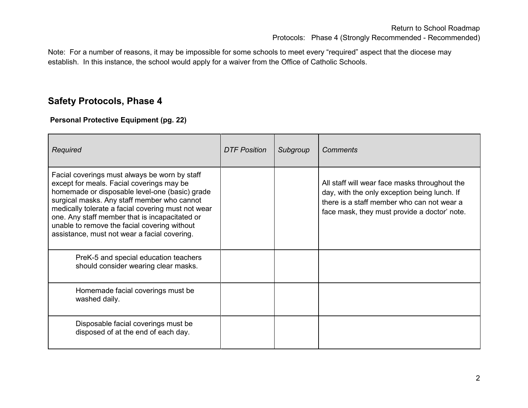Note: For a number of reasons, it may be impossible for some schools to meet every "required" aspect that the diocese may establish. In this instance, the school would apply for a waiver from the Office of Catholic Schools.

# **Safety Protocols, Phase 4**

#### **Personal Protective Equipment (pg. 22)**

| Required                                                                                                                                                                                                                                                                                                                                                                                            | <b>DTF Position</b> | Subgroup | Comments                                                                                                                                                                                    |
|-----------------------------------------------------------------------------------------------------------------------------------------------------------------------------------------------------------------------------------------------------------------------------------------------------------------------------------------------------------------------------------------------------|---------------------|----------|---------------------------------------------------------------------------------------------------------------------------------------------------------------------------------------------|
| Facial coverings must always be worn by staff<br>except for meals. Facial coverings may be<br>homemade or disposable level-one (basic) grade<br>surgical masks. Any staff member who cannot<br>medically tolerate a facial covering must not wear<br>one. Any staff member that is incapacitated or<br>unable to remove the facial covering without<br>assistance, must not wear a facial covering. |                     |          | All staff will wear face masks throughout the<br>day, with the only exception being lunch. If<br>there is a staff member who can not wear a<br>face mask, they must provide a doctor' note. |
| PreK-5 and special education teachers<br>should consider wearing clear masks.                                                                                                                                                                                                                                                                                                                       |                     |          |                                                                                                                                                                                             |
| Homemade facial coverings must be<br>washed daily.                                                                                                                                                                                                                                                                                                                                                  |                     |          |                                                                                                                                                                                             |
| Disposable facial coverings must be<br>disposed of at the end of each day.                                                                                                                                                                                                                                                                                                                          |                     |          |                                                                                                                                                                                             |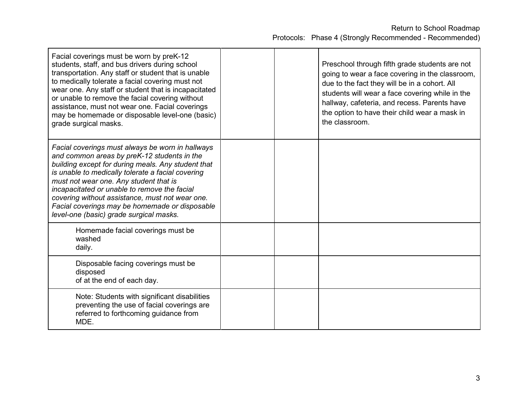| Facial coverings must be worn by preK-12<br>students, staff, and bus drivers during school<br>transportation. Any staff or student that is unable<br>to medically tolerate a facial covering must not<br>wear one. Any staff or student that is incapacitated<br>or unable to remove the facial covering without<br>assistance, must not wear one. Facial coverings<br>may be homemade or disposable level-one (basic)<br>grade surgical masks.      |  | Preschool through fifth grade students are not<br>going to wear a face covering in the classroom,<br>due to the fact they will be in a cohort. All<br>students will wear a face covering while in the<br>hallway, cafeteria, and recess. Parents have<br>the option to have their child wear a mask in<br>the classroom. |
|------------------------------------------------------------------------------------------------------------------------------------------------------------------------------------------------------------------------------------------------------------------------------------------------------------------------------------------------------------------------------------------------------------------------------------------------------|--|--------------------------------------------------------------------------------------------------------------------------------------------------------------------------------------------------------------------------------------------------------------------------------------------------------------------------|
| Facial coverings must always be worn in hallways<br>and common areas by preK-12 students in the<br>building except for during meals. Any student that<br>is unable to medically tolerate a facial covering<br>must not wear one. Any student that is<br>incapacitated or unable to remove the facial<br>covering without assistance, must not wear one.<br>Facial coverings may be homemade or disposable<br>level-one (basic) grade surgical masks. |  |                                                                                                                                                                                                                                                                                                                          |
| Homemade facial coverings must be<br>washed<br>daily.                                                                                                                                                                                                                                                                                                                                                                                                |  |                                                                                                                                                                                                                                                                                                                          |
| Disposable facing coverings must be<br>disposed<br>of at the end of each day.                                                                                                                                                                                                                                                                                                                                                                        |  |                                                                                                                                                                                                                                                                                                                          |
| Note: Students with significant disabilities<br>preventing the use of facial coverings are<br>referred to forthcoming guidance from<br>MDE.                                                                                                                                                                                                                                                                                                          |  |                                                                                                                                                                                                                                                                                                                          |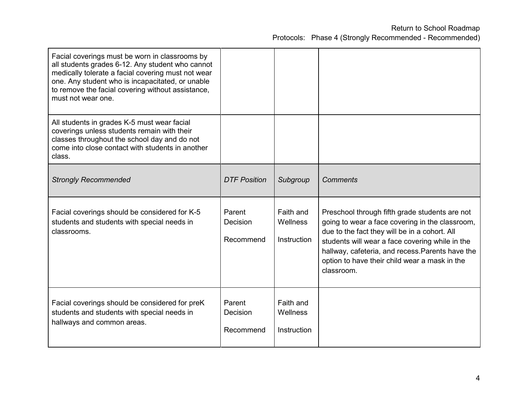| Facial coverings must be worn in classrooms by<br>all students grades 6-12. Any student who cannot<br>medically tolerate a facial covering must not wear<br>one. Any student who is incapacitated, or unable<br>to remove the facial covering without assistance,<br>must not wear one. |                                 |                                      |                                                                                                                                                                                                                                                                                                                          |
|-----------------------------------------------------------------------------------------------------------------------------------------------------------------------------------------------------------------------------------------------------------------------------------------|---------------------------------|--------------------------------------|--------------------------------------------------------------------------------------------------------------------------------------------------------------------------------------------------------------------------------------------------------------------------------------------------------------------------|
| All students in grades K-5 must wear facial<br>coverings unless students remain with their<br>classes throughout the school day and do not<br>come into close contact with students in another<br>class.                                                                                |                                 |                                      |                                                                                                                                                                                                                                                                                                                          |
| <b>Strongly Recommended</b>                                                                                                                                                                                                                                                             | <b>DTF Position</b>             | Subgroup                             | <b>Comments</b>                                                                                                                                                                                                                                                                                                          |
| Facial coverings should be considered for K-5<br>students and students with special needs in<br>classrooms.                                                                                                                                                                             | Parent<br>Decision<br>Recommend | Faith and<br>Wellness<br>Instruction | Preschool through fifth grade students are not<br>going to wear a face covering in the classroom,<br>due to the fact they will be in a cohort. All<br>students will wear a face covering while in the<br>hallway, cafeteria, and recess. Parents have the<br>option to have their child wear a mask in the<br>classroom. |
| Facial coverings should be considered for preK<br>students and students with special needs in<br>hallways and common areas.                                                                                                                                                             | Parent<br>Decision<br>Recommend | Faith and<br>Wellness<br>Instruction |                                                                                                                                                                                                                                                                                                                          |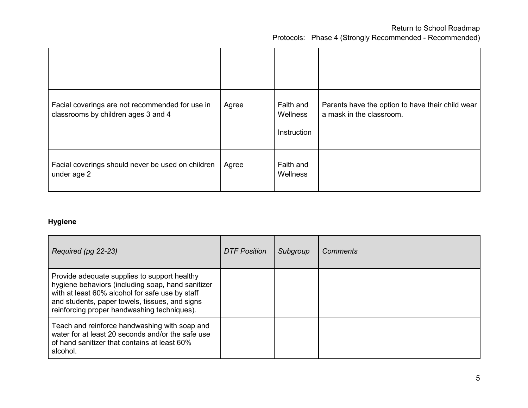| Facial coverings are not recommended for use in<br>classrooms by children ages 3 and 4 | Agree | Faith and<br>Wellness<br>Instruction | Parents have the option to have their child wear<br>a mask in the classroom. |
|----------------------------------------------------------------------------------------|-------|--------------------------------------|------------------------------------------------------------------------------|
| Facial coverings should never be used on children<br>under age 2                       | Agree | Faith and<br>Wellness                |                                                                              |

### **Hygiene**

| Required (pg 22-23)                                                                                                                                                                                                                                   | DTF Position | Subgroup | <b>Comments</b> |
|-------------------------------------------------------------------------------------------------------------------------------------------------------------------------------------------------------------------------------------------------------|--------------|----------|-----------------|
| Provide adequate supplies to support healthy<br>hygiene behaviors (including soap, hand sanitizer<br>with at least 60% alcohol for safe use by staff<br>and students, paper towels, tissues, and signs<br>reinforcing proper handwashing techniques). |              |          |                 |
| Teach and reinforce handwashing with soap and<br>water for at least 20 seconds and/or the safe use<br>of hand sanitizer that contains at least 60%<br>alcohol.                                                                                        |              |          |                 |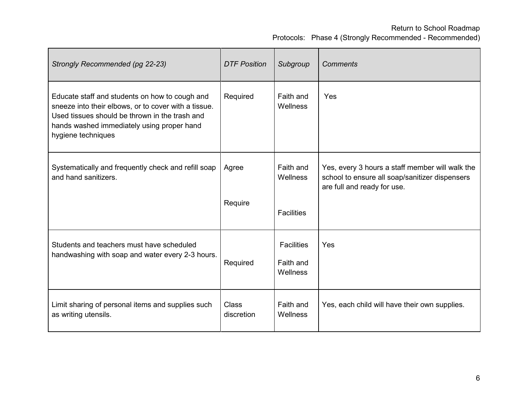| Strongly Recommended (pg 22-23)                                                                                                                                                                                              | <b>DTF Position</b>        | Subgroup                                   | <b>Comments</b>                                                                                                                  |
|------------------------------------------------------------------------------------------------------------------------------------------------------------------------------------------------------------------------------|----------------------------|--------------------------------------------|----------------------------------------------------------------------------------------------------------------------------------|
| Educate staff and students on how to cough and<br>sneeze into their elbows, or to cover with a tissue.<br>Used tissues should be thrown in the trash and<br>hands washed immediately using proper hand<br>hygiene techniques | Required                   | Faith and<br>Wellness                      | Yes                                                                                                                              |
| Systematically and frequently check and refill soap<br>and hand sanitizers.                                                                                                                                                  | Agree<br>Require           | Faith and<br>Wellness<br><b>Facilities</b> | Yes, every 3 hours a staff member will walk the<br>school to ensure all soap/sanitizer dispensers<br>are full and ready for use. |
| Students and teachers must have scheduled<br>handwashing with soap and water every 2-3 hours.                                                                                                                                | Required                   | <b>Facilities</b><br>Faith and<br>Wellness | Yes                                                                                                                              |
| Limit sharing of personal items and supplies such<br>as writing utensils.                                                                                                                                                    | <b>Class</b><br>discretion | Faith and<br><b>Wellness</b>               | Yes, each child will have their own supplies.                                                                                    |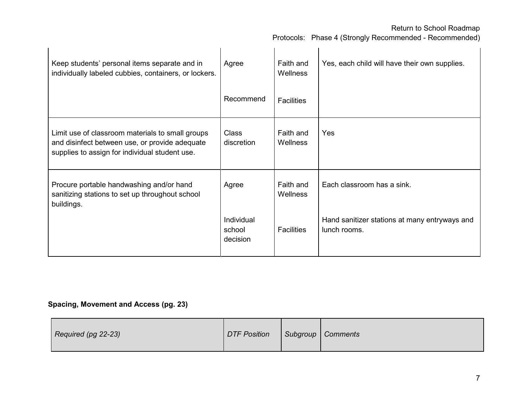Protocols: Phase 4 (Strongly Recommended - Recommended)

| Keep students' personal items separate and in<br>individually labeled cubbies, containers, or lockers.                                               | Agree                            | Faith and<br>Wellness | Yes, each child will have their own supplies.                 |
|------------------------------------------------------------------------------------------------------------------------------------------------------|----------------------------------|-----------------------|---------------------------------------------------------------|
|                                                                                                                                                      | Recommend                        | <b>Facilities</b>     |                                                               |
| Limit use of classroom materials to small groups<br>and disinfect between use, or provide adequate<br>supplies to assign for individual student use. | <b>Class</b><br>discretion       | Faith and<br>Wellness | Yes                                                           |
| Procure portable handwashing and/or hand<br>sanitizing stations to set up throughout school<br>buildings.                                            | Agree                            | Faith and<br>Wellness | Each classroom has a sink.                                    |
|                                                                                                                                                      | Individual<br>school<br>decision | <b>Facilities</b>     | Hand sanitizer stations at many entryways and<br>lunch rooms. |

### **Spacing, Movement and Access (pg. 23)**

| Required (pg 22-23) | <b>DTF Position</b> |  | Subgroup   Comments |
|---------------------|---------------------|--|---------------------|
|---------------------|---------------------|--|---------------------|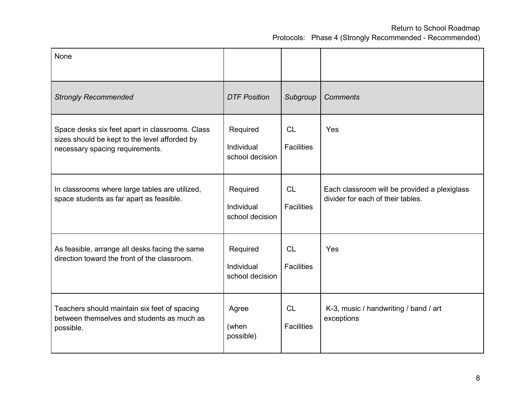| <b>None</b>                                                                                                                         |                                           |                                |                                                                                   |
|-------------------------------------------------------------------------------------------------------------------------------------|-------------------------------------------|--------------------------------|-----------------------------------------------------------------------------------|
| <b>Strongly Recommended</b>                                                                                                         | <b>DTF Position</b>                       | Subgroup                       | <b>Comments</b>                                                                   |
| Space desks six feet apart in classrooms. Class<br>sizes should be kept to the level afforded by<br>necessary spacing requirements. | Required<br>Individual<br>school decision | CL<br><b>Facilities</b>        | Yes                                                                               |
| In classrooms where large tables are utilized,<br>space students as far apart as feasible.                                          | Required<br>Individual<br>school decision | <b>CL</b><br><b>Facilities</b> | Each classroom will be provided a plexiglass<br>divider for each of their tables. |
| As feasible, arrange all desks facing the same<br>direction toward the front of the classroom.                                      | Required<br>Individual<br>school decision | CL<br><b>Facilities</b>        | Yes                                                                               |
| Teachers should maintain six feet of spacing<br>between themselves and students as much as<br>possible.                             | Agree<br>(when<br>possible)               | <b>CL</b><br><b>Facilities</b> | K-3, music / handwriting / band / art<br>exceptions                               |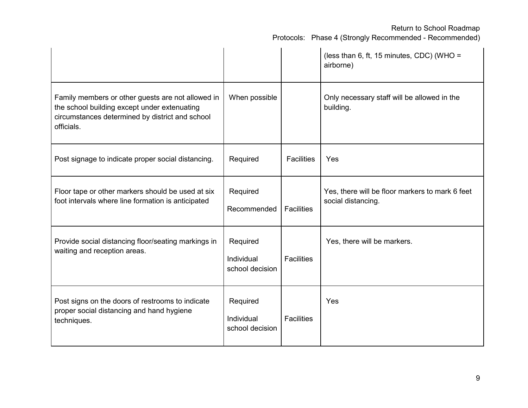|                                                                                                                                                                    |                                           |                   | (less than 6, ft, 15 minutes, CDC) (WHO =<br>airborne)                |
|--------------------------------------------------------------------------------------------------------------------------------------------------------------------|-------------------------------------------|-------------------|-----------------------------------------------------------------------|
| Family members or other guests are not allowed in<br>the school building except under extenuating<br>circumstances determined by district and school<br>officials. | When possible                             |                   | Only necessary staff will be allowed in the<br>building.              |
| Post signage to indicate proper social distancing.                                                                                                                 | Required                                  | <b>Facilities</b> | Yes                                                                   |
| Floor tape or other markers should be used at six<br>foot intervals where line formation is anticipated                                                            | Required<br>Recommended                   | <b>Facilities</b> | Yes, there will be floor markers to mark 6 feet<br>social distancing. |
| Provide social distancing floor/seating markings in<br>waiting and reception areas.                                                                                | Required<br>Individual<br>school decision | <b>Facilities</b> | Yes, there will be markers.                                           |
| Post signs on the doors of restrooms to indicate<br>proper social distancing and hand hygiene<br>techniques.                                                       | Required<br>Individual<br>school decision | <b>Facilities</b> | Yes                                                                   |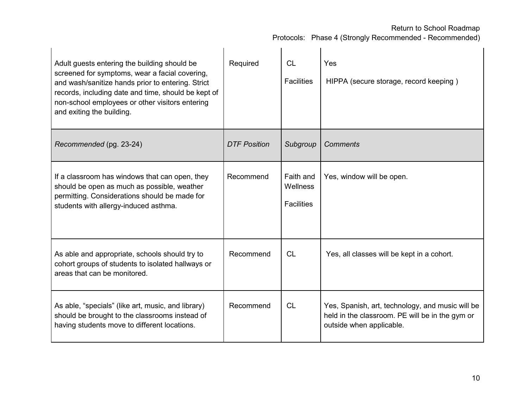| Adult guests entering the building should be<br>screened for symptoms, wear a facial covering,<br>and wash/sanitize hands prior to entering. Strict<br>records, including date and time, should be kept of<br>non-school employees or other visitors entering<br>and exiting the building. | Required            | <b>CL</b><br><b>Facilities</b>             | Yes<br>HIPPA (secure storage, record keeping)                                                                                   |
|--------------------------------------------------------------------------------------------------------------------------------------------------------------------------------------------------------------------------------------------------------------------------------------------|---------------------|--------------------------------------------|---------------------------------------------------------------------------------------------------------------------------------|
| Recommended (pg. 23-24)                                                                                                                                                                                                                                                                    | <b>DTF Position</b> | Subgroup                                   | <b>Comments</b>                                                                                                                 |
| If a classroom has windows that can open, they<br>should be open as much as possible, weather<br>permitting. Considerations should be made for<br>students with allergy-induced asthma.                                                                                                    | Recommend           | Faith and<br>Wellness<br><b>Facilities</b> | Yes, window will be open.                                                                                                       |
| As able and appropriate, schools should try to<br>cohort groups of students to isolated hallways or<br>areas that can be monitored.                                                                                                                                                        | Recommend           | CL                                         | Yes, all classes will be kept in a cohort.                                                                                      |
| As able, "specials" (like art, music, and library)<br>should be brought to the classrooms instead of<br>having students move to different locations.                                                                                                                                       | Recommend           | CL                                         | Yes, Spanish, art, technology, and music will be<br>held in the classroom. PE will be in the gym or<br>outside when applicable. |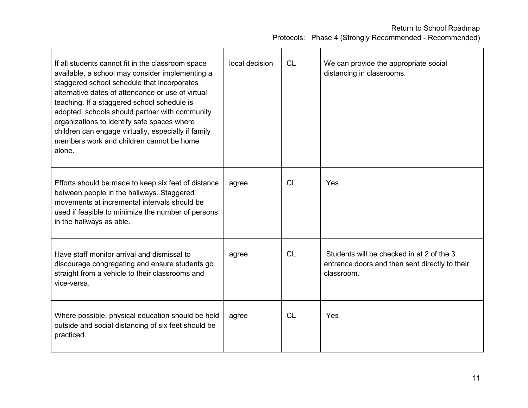| If all students cannot fit in the classroom space<br>available, a school may consider implementing a<br>staggered school schedule that incorporates<br>alternative dates of attendance or use of virtual<br>teaching. If a staggered school schedule is<br>adopted, schools should partner with community<br>organizations to identify safe spaces where<br>children can engage virtually, especially if family<br>members work and children cannot be home<br>alone. | local decision | <b>CL</b> | We can provide the appropriate social<br>distancing in classrooms.                                        |
|-----------------------------------------------------------------------------------------------------------------------------------------------------------------------------------------------------------------------------------------------------------------------------------------------------------------------------------------------------------------------------------------------------------------------------------------------------------------------|----------------|-----------|-----------------------------------------------------------------------------------------------------------|
| Efforts should be made to keep six feet of distance<br>between people in the hallways. Staggered<br>movements at incremental intervals should be<br>used if feasible to minimize the number of persons<br>in the hallways as able.                                                                                                                                                                                                                                    | agree          | <b>CL</b> | Yes                                                                                                       |
| Have staff monitor arrival and dismissal to<br>discourage congregating and ensure students go<br>straight from a vehicle to their classrooms and<br>vice-versa.                                                                                                                                                                                                                                                                                                       | agree          | <b>CL</b> | Students will be checked in at 2 of the 3<br>entrance doors and then sent directly to their<br>classroom. |
| Where possible, physical education should be held<br>outside and social distancing of six feet should be<br>practiced.                                                                                                                                                                                                                                                                                                                                                | agree          | CL        | Yes                                                                                                       |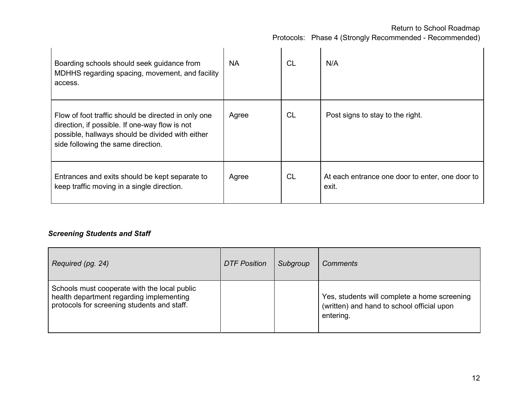Protocols: Phase 4 (Strongly Recommended - Recommended)

| Boarding schools should seek guidance from<br>MDHHS regarding spacing, movement, and facility<br>access.                                                                                        | NA.   | CL        | N/A                                                      |
|-------------------------------------------------------------------------------------------------------------------------------------------------------------------------------------------------|-------|-----------|----------------------------------------------------------|
| Flow of foot traffic should be directed in only one<br>direction, if possible. If one-way flow is not<br>possible, hallways should be divided with either<br>side following the same direction. | Agree | <b>CL</b> | Post signs to stay to the right.                         |
| Entrances and exits should be kept separate to<br>keep traffic moving in a single direction.                                                                                                    | Agree | <b>CL</b> | At each entrance one door to enter, one door to<br>exit. |

### *Screening Students and Staff*

| Required (pg. 24)                                                                                                                       | <b>DTF Position</b> | Subgroup | <b>Comments</b>                                                                                         |
|-----------------------------------------------------------------------------------------------------------------------------------------|---------------------|----------|---------------------------------------------------------------------------------------------------------|
| Schools must cooperate with the local public<br>health department regarding implementing<br>protocols for screening students and staff. |                     |          | Yes, students will complete a home screening<br>(written) and hand to school official upon<br>entering. |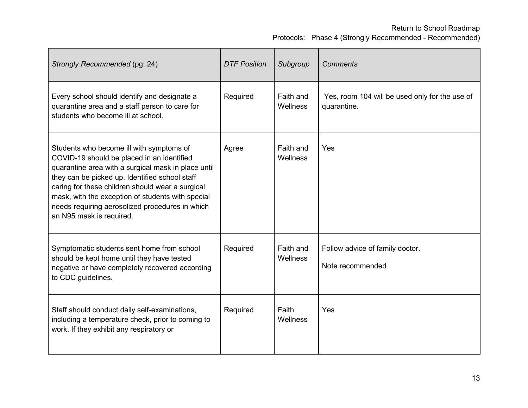| Strongly Recommended (pg. 24)                                                                                                                                                                                                                                                                                                                                                           | <b>DTF Position</b> | Subgroup              | <b>Comments</b>                                               |
|-----------------------------------------------------------------------------------------------------------------------------------------------------------------------------------------------------------------------------------------------------------------------------------------------------------------------------------------------------------------------------------------|---------------------|-----------------------|---------------------------------------------------------------|
| Every school should identify and designate a<br>quarantine area and a staff person to care for<br>students who become ill at school.                                                                                                                                                                                                                                                    | Required            | Faith and<br>Wellness | Yes, room 104 will be used only for the use of<br>quarantine. |
| Students who become ill with symptoms of<br>COVID-19 should be placed in an identified<br>quarantine area with a surgical mask in place until<br>they can be picked up. Identified school staff<br>caring for these children should wear a surgical<br>mask, with the exception of students with special<br>needs requiring aerosolized procedures in which<br>an N95 mask is required. | Agree               | Faith and<br>Wellness | Yes                                                           |
| Symptomatic students sent home from school<br>should be kept home until they have tested<br>negative or have completely recovered according<br>to CDC guidelines.                                                                                                                                                                                                                       | Required            | Faith and<br>Wellness | Follow advice of family doctor.<br>Note recommended.          |
| Staff should conduct daily self-examinations,<br>including a temperature check, prior to coming to<br>work. If they exhibit any respiratory or                                                                                                                                                                                                                                          | Required            | Faith<br>Wellness     | Yes                                                           |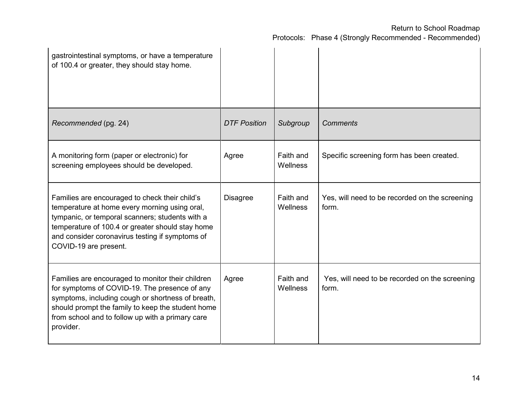| gastrointestinal symptoms, or have a temperature<br>of 100.4 or greater, they should stay home.                                                                                                                                                                                    |                     |                       |                                                         |
|------------------------------------------------------------------------------------------------------------------------------------------------------------------------------------------------------------------------------------------------------------------------------------|---------------------|-----------------------|---------------------------------------------------------|
| Recommended (pg. 24)                                                                                                                                                                                                                                                               | <b>DTF Position</b> | Subgroup              | <b>Comments</b>                                         |
| A monitoring form (paper or electronic) for<br>screening employees should be developed.                                                                                                                                                                                            | Agree               | Faith and<br>Wellness | Specific screening form has been created.               |
| Families are encouraged to check their child's<br>temperature at home every morning using oral,<br>tympanic, or temporal scanners; students with a<br>temperature of 100.4 or greater should stay home<br>and consider coronavirus testing if symptoms of<br>COVID-19 are present. | <b>Disagree</b>     | Faith and<br>Wellness | Yes, will need to be recorded on the screening<br>form. |
| Families are encouraged to monitor their children<br>for symptoms of COVID-19. The presence of any<br>symptoms, including cough or shortness of breath,<br>should prompt the family to keep the student home<br>from school and to follow up with a primary care<br>provider.      | Agree               | Faith and<br>Wellness | Yes, will need to be recorded on the screening<br>form. |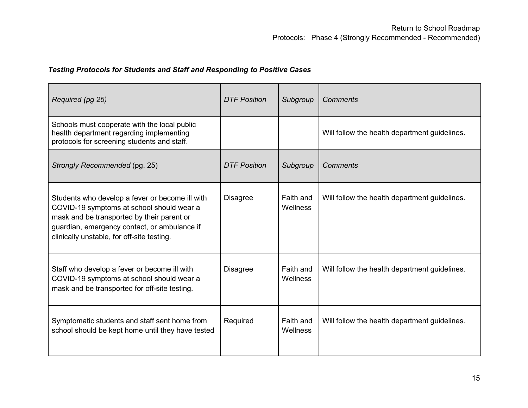### *Testing Protocols for Students and Staff and Responding to Positive Cases*

| Required (pg 25)                                                                                                                                                                                                                         | <b>DTF Position</b> | Subgroup              | Comments                                      |
|------------------------------------------------------------------------------------------------------------------------------------------------------------------------------------------------------------------------------------------|---------------------|-----------------------|-----------------------------------------------|
| Schools must cooperate with the local public<br>health department regarding implementing<br>protocols for screening students and staff.                                                                                                  |                     |                       | Will follow the health department guidelines. |
| Strongly Recommended (pg. 25)                                                                                                                                                                                                            | <b>DTF Position</b> | Subgroup              | Comments                                      |
| Students who develop a fever or become ill with<br>COVID-19 symptoms at school should wear a<br>mask and be transported by their parent or<br>guardian, emergency contact, or ambulance if<br>clinically unstable, for off-site testing. | <b>Disagree</b>     | Faith and<br>Wellness | Will follow the health department guidelines. |
| Staff who develop a fever or become ill with<br>COVID-19 symptoms at school should wear a<br>mask and be transported for off-site testing.                                                                                               | <b>Disagree</b>     | Faith and<br>Wellness | Will follow the health department guidelines. |
| Symptomatic students and staff sent home from<br>school should be kept home until they have tested                                                                                                                                       | Required            | Faith and<br>Wellness | Will follow the health department guidelines. |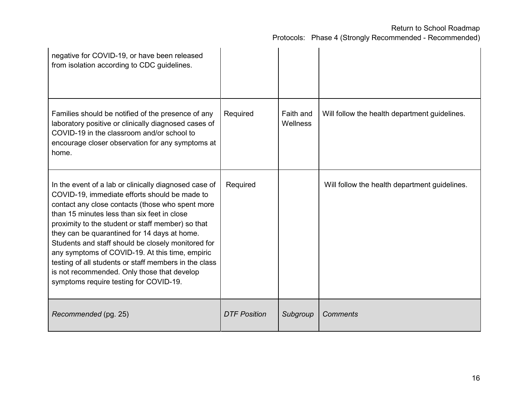|  |  |  |  | Protocols: Phase 4 (Strongly Recommended - Recommended) |
|--|--|--|--|---------------------------------------------------------|
|--|--|--|--|---------------------------------------------------------|

| negative for COVID-19, or have been released<br>from isolation according to CDC guidelines.                                                                                                                                                                                                                                                                                                                                                                                                                                                                               |                     |                       |                                               |
|---------------------------------------------------------------------------------------------------------------------------------------------------------------------------------------------------------------------------------------------------------------------------------------------------------------------------------------------------------------------------------------------------------------------------------------------------------------------------------------------------------------------------------------------------------------------------|---------------------|-----------------------|-----------------------------------------------|
| Families should be notified of the presence of any<br>laboratory positive or clinically diagnosed cases of<br>COVID-19 in the classroom and/or school to<br>encourage closer observation for any symptoms at<br>home.                                                                                                                                                                                                                                                                                                                                                     | Required            | Faith and<br>Wellness | Will follow the health department guidelines. |
| In the event of a lab or clinically diagnosed case of<br>COVID-19, immediate efforts should be made to<br>contact any close contacts (those who spent more<br>than 15 minutes less than six feet in close<br>proximity to the student or staff member) so that<br>they can be quarantined for 14 days at home.<br>Students and staff should be closely monitored for<br>any symptoms of COVID-19. At this time, empiric<br>testing of all students or staff members in the class<br>is not recommended. Only those that develop<br>symptoms require testing for COVID-19. | Required            |                       | Will follow the health department guidelines. |
| Recommended (pg. 25)                                                                                                                                                                                                                                                                                                                                                                                                                                                                                                                                                      | <b>DTF Position</b> | Subgroup              | Comments                                      |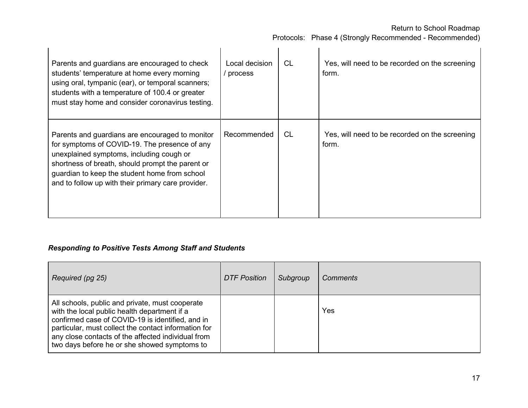Protocols: Phase 4 (Strongly Recommended - Recommended)

| Parents and guardians are encouraged to check<br>students' temperature at home every morning<br>using oral, tympanic (ear), or temporal scanners;<br>students with a temperature of 100.4 or greater<br>must stay home and consider coronavirus testing.                                                | Local decision<br>process | <b>CL</b> | Yes, will need to be recorded on the screening<br>form. |
|---------------------------------------------------------------------------------------------------------------------------------------------------------------------------------------------------------------------------------------------------------------------------------------------------------|---------------------------|-----------|---------------------------------------------------------|
| Parents and guardians are encouraged to monitor<br>for symptoms of COVID-19. The presence of any<br>unexplained symptoms, including cough or<br>shortness of breath, should prompt the parent or<br>guardian to keep the student home from school<br>and to follow up with their primary care provider. | Recommended               | <b>CL</b> | Yes, will need to be recorded on the screening<br>form. |

### *Responding to Positive Tests Among Staff and Students*

| Required (pg 25)                                                                                                                                                                                                                                                                                                  | <b>DTF Position</b> | Subgroup | Comments |
|-------------------------------------------------------------------------------------------------------------------------------------------------------------------------------------------------------------------------------------------------------------------------------------------------------------------|---------------------|----------|----------|
| All schools, public and private, must cooperate<br>with the local public health department if a<br>confirmed case of COVID-19 is identified, and in<br>particular, must collect the contact information for<br>any close contacts of the affected individual from<br>two days before he or she showed symptoms to |                     |          | Yes      |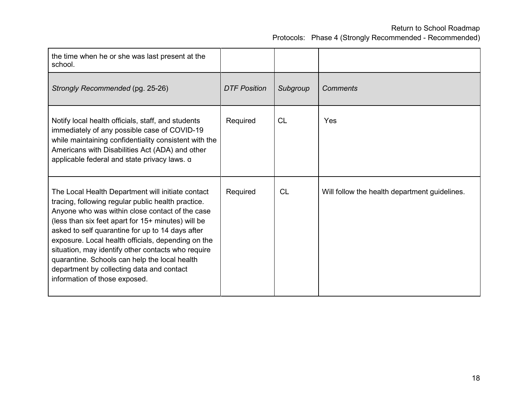| the time when he or she was last present at the<br>school.                                                                                                                                                                                                                                                                                                                                                                                                                                                      |                     |           |                                               |
|-----------------------------------------------------------------------------------------------------------------------------------------------------------------------------------------------------------------------------------------------------------------------------------------------------------------------------------------------------------------------------------------------------------------------------------------------------------------------------------------------------------------|---------------------|-----------|-----------------------------------------------|
| Strongly Recommended (pg. 25-26)                                                                                                                                                                                                                                                                                                                                                                                                                                                                                | <b>DTF Position</b> | Subgroup  | <b>Comments</b>                               |
| Notify local health officials, staff, and students<br>immediately of any possible case of COVID-19<br>while maintaining confidentiality consistent with the<br>Americans with Disabilities Act (ADA) and other<br>applicable federal and state privacy laws. a                                                                                                                                                                                                                                                  | Required            | <b>CL</b> | Yes                                           |
| The Local Health Department will initiate contact<br>tracing, following regular public health practice.<br>Anyone who was within close contact of the case<br>(less than six feet apart for 15+ minutes) will be<br>asked to self quarantine for up to 14 days after<br>exposure. Local health officials, depending on the<br>situation, may identify other contacts who require<br>quarantine. Schools can help the local health<br>department by collecting data and contact<br>information of those exposed. | Required            | <b>CL</b> | Will follow the health department guidelines. |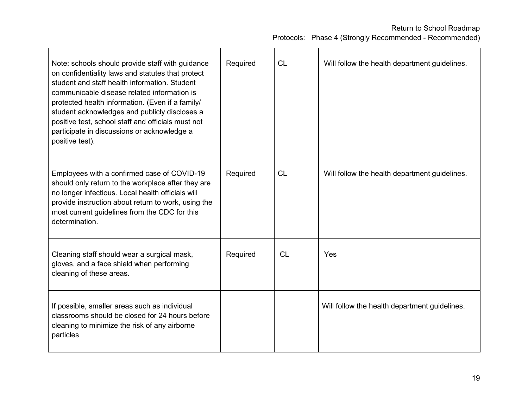| Note: schools should provide staff with guidance<br>on confidentiality laws and statutes that protect<br>student and staff health information. Student<br>communicable disease related information is<br>protected health information. (Even if a family/<br>student acknowledges and publicly discloses a<br>positive test, school staff and officials must not<br>participate in discussions or acknowledge a<br>positive test). | Required | <b>CL</b> | Will follow the health department guidelines. |
|------------------------------------------------------------------------------------------------------------------------------------------------------------------------------------------------------------------------------------------------------------------------------------------------------------------------------------------------------------------------------------------------------------------------------------|----------|-----------|-----------------------------------------------|
| Employees with a confirmed case of COVID-19<br>should only return to the workplace after they are<br>no longer infectious. Local health officials will<br>provide instruction about return to work, using the<br>most current guidelines from the CDC for this<br>determination.                                                                                                                                                   | Required | <b>CL</b> | Will follow the health department guidelines. |
| Cleaning staff should wear a surgical mask,<br>gloves, and a face shield when performing<br>cleaning of these areas.                                                                                                                                                                                                                                                                                                               | Required | <b>CL</b> | Yes                                           |
| If possible, smaller areas such as individual<br>classrooms should be closed for 24 hours before<br>cleaning to minimize the risk of any airborne<br>particles                                                                                                                                                                                                                                                                     |          |           | Will follow the health department guidelines. |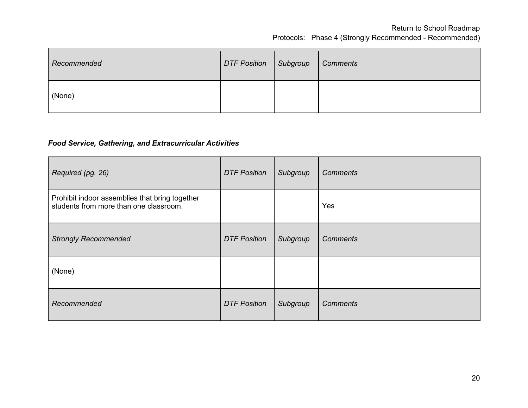| Recommended | DTF Position   Subgroup | <b>Comments</b> |
|-------------|-------------------------|-----------------|
| (None)      |                         |                 |

#### *Food Service, Gathering, and Extracurricular Activities*

| Required (pg. 26)                                                                        | <b>DTF Position</b> | Subgroup | <b>Comments</b> |
|------------------------------------------------------------------------------------------|---------------------|----------|-----------------|
| Prohibit indoor assemblies that bring together<br>students from more than one classroom. |                     |          | Yes             |
| <b>Strongly Recommended</b>                                                              | <b>DTF Position</b> | Subgroup | <b>Comments</b> |
| (None)                                                                                   |                     |          |                 |
| Recommended                                                                              | <b>DTF Position</b> | Subgroup | <b>Comments</b> |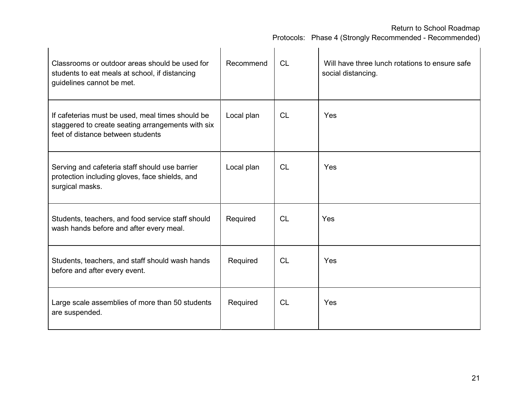| Classrooms or outdoor areas should be used for<br>students to eat meals at school, if distancing<br>guidelines cannot be met.              | Recommend  | <b>CL</b> | Will have three lunch rotations to ensure safe<br>social distancing. |
|--------------------------------------------------------------------------------------------------------------------------------------------|------------|-----------|----------------------------------------------------------------------|
| If cafeterias must be used, meal times should be<br>staggered to create seating arrangements with six<br>feet of distance between students | Local plan | <b>CL</b> | Yes                                                                  |
| Serving and cafeteria staff should use barrier<br>protection including gloves, face shields, and<br>surgical masks.                        | Local plan | CL        | Yes                                                                  |
| Students, teachers, and food service staff should<br>wash hands before and after every meal.                                               | Required   | CL        | Yes                                                                  |
| Students, teachers, and staff should wash hands<br>before and after every event.                                                           | Required   | CL        | Yes                                                                  |
| Large scale assemblies of more than 50 students<br>are suspended.                                                                          | Required   | <b>CL</b> | Yes                                                                  |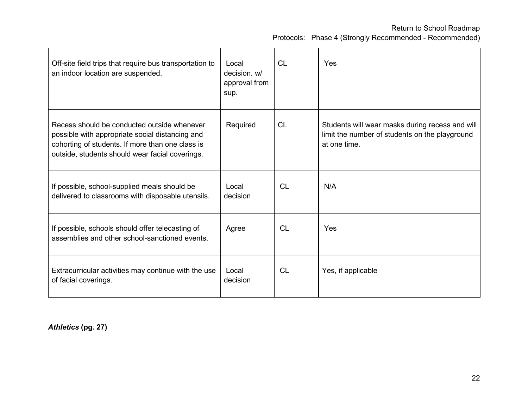Protocols: Phase 4 (Strongly Recommended - Recommended)

| Off-site field trips that require bus transportation to<br>an indoor location are suspended.                                                                                                          | Local<br>decision, w/<br>approval from<br>sup. | <b>CL</b> | Yes                                                                                                               |
|-------------------------------------------------------------------------------------------------------------------------------------------------------------------------------------------------------|------------------------------------------------|-----------|-------------------------------------------------------------------------------------------------------------------|
| Recess should be conducted outside whenever<br>possible with appropriate social distancing and<br>cohorting of students. If more than one class is<br>outside, students should wear facial coverings. | Required                                       | CL        | Students will wear masks during recess and will<br>limit the number of students on the playground<br>at one time. |
| If possible, school-supplied meals should be<br>delivered to classrooms with disposable utensils.                                                                                                     | Local<br>decision                              | <b>CL</b> | N/A                                                                                                               |
| If possible, schools should offer telecasting of<br>assemblies and other school-sanctioned events.                                                                                                    | Agree                                          | <b>CL</b> | Yes                                                                                                               |
| Extracurricular activities may continue with the use<br>of facial coverings.                                                                                                                          | Local<br>decision                              | <b>CL</b> | Yes, if applicable                                                                                                |

*Athletics* **(pg. 27)**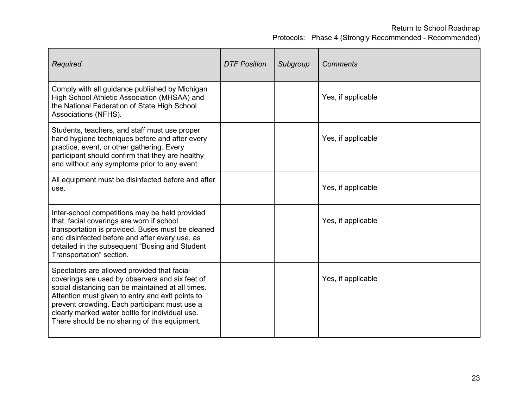| Required                                                                                                                                                                                                                                                                                                                                                     | <b>DTF Position</b> | Subgroup | <b>Comments</b>    |
|--------------------------------------------------------------------------------------------------------------------------------------------------------------------------------------------------------------------------------------------------------------------------------------------------------------------------------------------------------------|---------------------|----------|--------------------|
| Comply with all guidance published by Michigan<br>High School Athletic Association (MHSAA) and<br>the National Federation of State High School<br>Associations (NFHS).                                                                                                                                                                                       |                     |          | Yes, if applicable |
| Students, teachers, and staff must use proper<br>hand hygiene techniques before and after every<br>practice, event, or other gathering. Every<br>participant should confirm that they are healthy<br>and without any symptoms prior to any event.                                                                                                            |                     |          | Yes, if applicable |
| All equipment must be disinfected before and after<br>use.                                                                                                                                                                                                                                                                                                   |                     |          | Yes, if applicable |
| Inter-school competitions may be held provided<br>that, facial coverings are worn if school<br>transportation is provided. Buses must be cleaned<br>and disinfected before and after every use, as<br>detailed in the subsequent "Busing and Student"<br>Transportation" section.                                                                            |                     |          | Yes, if applicable |
| Spectators are allowed provided that facial<br>coverings are used by observers and six feet of<br>social distancing can be maintained at all times.<br>Attention must given to entry and exit points to<br>prevent crowding. Each participant must use a<br>clearly marked water bottle for individual use.<br>There should be no sharing of this equipment. |                     |          | Yes, if applicable |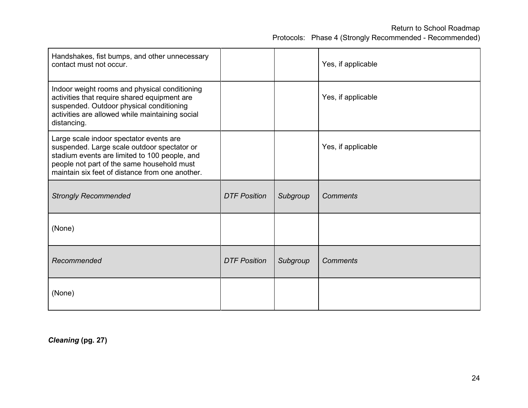| Handshakes, fist bumps, and other unnecessary<br>contact must not occur.                                                                                                                                                                 |                     |          | Yes, if applicable |
|------------------------------------------------------------------------------------------------------------------------------------------------------------------------------------------------------------------------------------------|---------------------|----------|--------------------|
| Indoor weight rooms and physical conditioning<br>activities that require shared equipment are<br>suspended. Outdoor physical conditioning<br>activities are allowed while maintaining social<br>distancing.                              |                     |          | Yes, if applicable |
| Large scale indoor spectator events are<br>suspended. Large scale outdoor spectator or<br>stadium events are limited to 100 people, and<br>people not part of the same household must<br>maintain six feet of distance from one another. |                     |          | Yes, if applicable |
| <b>Strongly Recommended</b>                                                                                                                                                                                                              | <b>DTF Position</b> | Subgroup | <b>Comments</b>    |
| (None)                                                                                                                                                                                                                                   |                     |          |                    |
| Recommended                                                                                                                                                                                                                              | <b>DTF Position</b> | Subgroup | <b>Comments</b>    |
| (None)                                                                                                                                                                                                                                   |                     |          |                    |

*Cleaning* **(pg. 27)**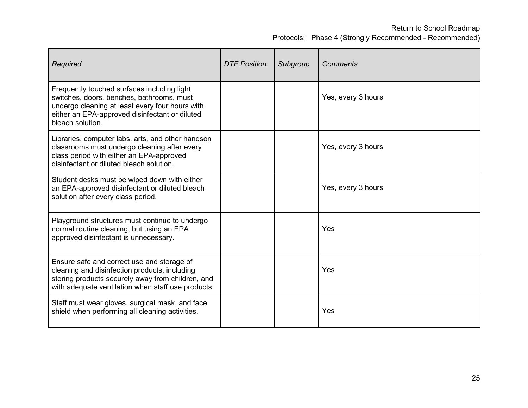| Required                                                                                                                                                                                                          | <b>DTF Position</b> | Subgroup | <b>Comments</b>    |
|-------------------------------------------------------------------------------------------------------------------------------------------------------------------------------------------------------------------|---------------------|----------|--------------------|
| Frequently touched surfaces including light<br>switches, doors, benches, bathrooms, must<br>undergo cleaning at least every four hours with<br>either an EPA-approved disinfectant or diluted<br>bleach solution. |                     |          | Yes, every 3 hours |
| Libraries, computer labs, arts, and other handson<br>classrooms must undergo cleaning after every<br>class period with either an EPA-approved<br>disinfectant or diluted bleach solution.                         |                     |          | Yes, every 3 hours |
| Student desks must be wiped down with either<br>an EPA-approved disinfectant or diluted bleach<br>solution after every class period.                                                                              |                     |          | Yes, every 3 hours |
| Playground structures must continue to undergo<br>normal routine cleaning, but using an EPA<br>approved disinfectant is unnecessary.                                                                              |                     |          | Yes                |
| Ensure safe and correct use and storage of<br>cleaning and disinfection products, including<br>storing products securely away from children, and<br>with adequate ventilation when staff use products.            |                     |          | Yes                |
| Staff must wear gloves, surgical mask, and face<br>shield when performing all cleaning activities.                                                                                                                |                     |          | Yes                |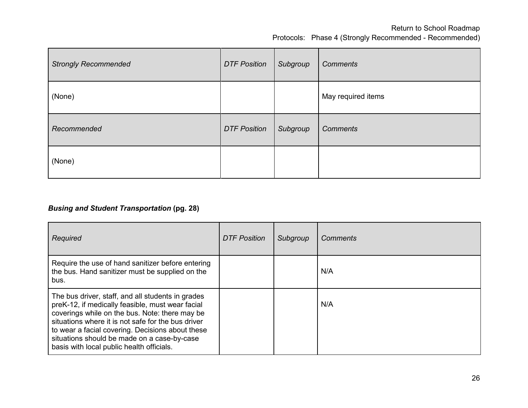| <b>Strongly Recommended</b> | <b>DTF Position</b> | Subgroup | <b>Comments</b>    |
|-----------------------------|---------------------|----------|--------------------|
| (None)                      |                     |          | May required items |
| Recommended                 | <b>DTF Position</b> | Subgroup | <b>Comments</b>    |
| (None)                      |                     |          |                    |

# *Busing and Student Transportation* **(pg. 28)**

| Required                                                                                                                                                                                                                                                                                                                                                      | <b>DTF Position</b> | Subgroup | Comments |
|---------------------------------------------------------------------------------------------------------------------------------------------------------------------------------------------------------------------------------------------------------------------------------------------------------------------------------------------------------------|---------------------|----------|----------|
| Require the use of hand sanitizer before entering<br>the bus. Hand sanitizer must be supplied on the<br>bus.                                                                                                                                                                                                                                                  |                     |          | N/A      |
| The bus driver, staff, and all students in grades<br>preK-12, if medically feasible, must wear facial<br>coverings while on the bus. Note: there may be<br>situations where it is not safe for the bus driver<br>to wear a facial covering. Decisions about these<br>situations should be made on a case-by-case<br>basis with local public health officials. |                     |          | N/A      |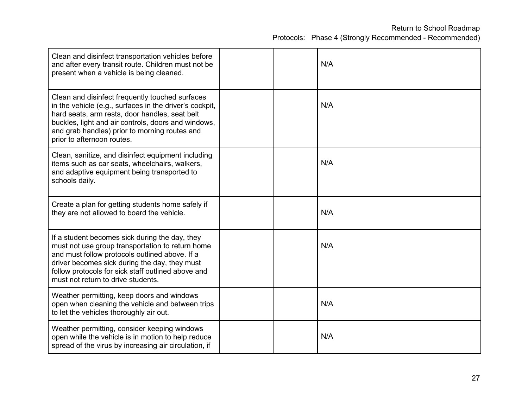| Clean and disinfect transportation vehicles before<br>and after every transit route. Children must not be<br>present when a vehicle is being cleaned.                                                                                                                                              |  | N/A |
|----------------------------------------------------------------------------------------------------------------------------------------------------------------------------------------------------------------------------------------------------------------------------------------------------|--|-----|
| Clean and disinfect frequently touched surfaces<br>in the vehicle (e.g., surfaces in the driver's cockpit,<br>hard seats, arm rests, door handles, seat belt<br>buckles, light and air controls, doors and windows,<br>and grab handles) prior to morning routes and<br>prior to afternoon routes. |  | N/A |
| Clean, sanitize, and disinfect equipment including<br>items such as car seats, wheelchairs, walkers,<br>and adaptive equipment being transported to<br>schools daily.                                                                                                                              |  | N/A |
| Create a plan for getting students home safely if<br>they are not allowed to board the vehicle.                                                                                                                                                                                                    |  | N/A |
| If a student becomes sick during the day, they<br>must not use group transportation to return home<br>and must follow protocols outlined above. If a<br>driver becomes sick during the day, they must<br>follow protocols for sick staff outlined above and<br>must not return to drive students.  |  | N/A |
| Weather permitting, keep doors and windows<br>open when cleaning the vehicle and between trips<br>to let the vehicles thoroughly air out.                                                                                                                                                          |  | N/A |
| Weather permitting, consider keeping windows<br>open while the vehicle is in motion to help reduce<br>spread of the virus by increasing air circulation, if                                                                                                                                        |  | N/A |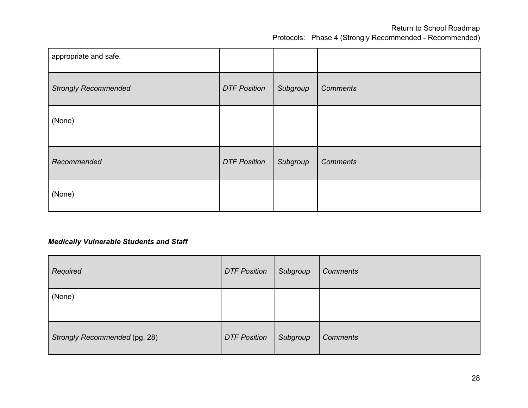| appropriate and safe.       |                     |          |                 |
|-----------------------------|---------------------|----------|-----------------|
| <b>Strongly Recommended</b> | <b>DTF Position</b> | Subgroup | <b>Comments</b> |
| (None)                      |                     |          |                 |
| Recommended                 | <b>DTF Position</b> | Subgroup | <b>Comments</b> |
| (None)                      |                     |          |                 |

### *Medically Vulnerable Students and Staff*

| Required                      | <b>DTF Position</b> | Subgroup | <b>Comments</b> |
|-------------------------------|---------------------|----------|-----------------|
| (None)                        |                     |          |                 |
| Strongly Recommended (pg. 28) | <b>DTF Position</b> | Subgroup | <b>Comments</b> |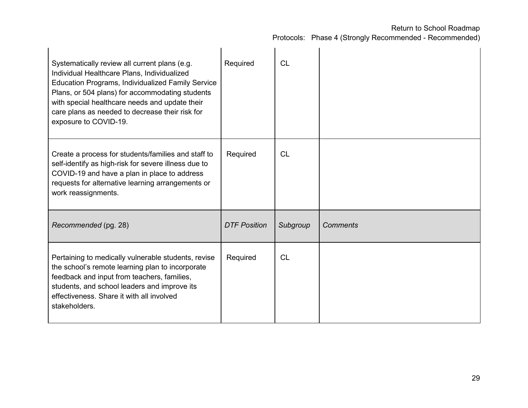| Systematically review all current plans (e.g.<br>Individual Healthcare Plans, Individualized<br><b>Education Programs, Individualized Family Service</b><br>Plans, or 504 plans) for accommodating students<br>with special healthcare needs and update their<br>care plans as needed to decrease their risk for<br>exposure to COVID-19. | Required            | <b>CL</b> |                 |
|-------------------------------------------------------------------------------------------------------------------------------------------------------------------------------------------------------------------------------------------------------------------------------------------------------------------------------------------|---------------------|-----------|-----------------|
| Create a process for students/families and staff to<br>self-identify as high-risk for severe illness due to<br>COVID-19 and have a plan in place to address<br>requests for alternative learning arrangements or<br>work reassignments.                                                                                                   | Required            | CL        |                 |
| Recommended (pg. 28)                                                                                                                                                                                                                                                                                                                      | <b>DTF Position</b> | Subgroup  | <b>Comments</b> |
| Pertaining to medically vulnerable students, revise<br>the school's remote learning plan to incorporate<br>feedback and input from teachers, families,<br>students, and school leaders and improve its<br>effectiveness. Share it with all involved<br>stakeholders.                                                                      | Required            | CL        |                 |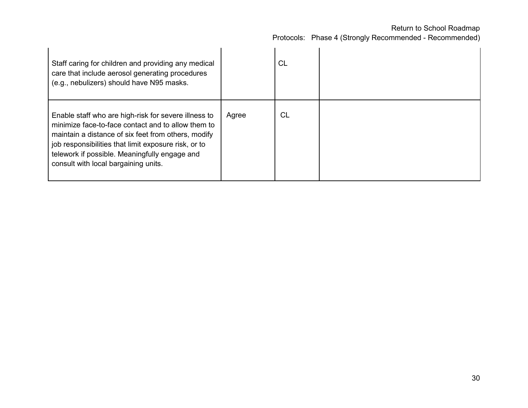| Staff caring for children and providing any medical<br>care that include aerosol generating procedures<br>(e.g., nebulizers) should have N95 masks.                                                                                                                                                                |       | <b>CL</b> |  |
|--------------------------------------------------------------------------------------------------------------------------------------------------------------------------------------------------------------------------------------------------------------------------------------------------------------------|-------|-----------|--|
| Enable staff who are high-risk for severe illness to<br>minimize face-to-face contact and to allow them to<br>maintain a distance of six feet from others, modify<br>job responsibilities that limit exposure risk, or to<br>telework if possible. Meaningfully engage and<br>consult with local bargaining units. | Agree | <b>CL</b> |  |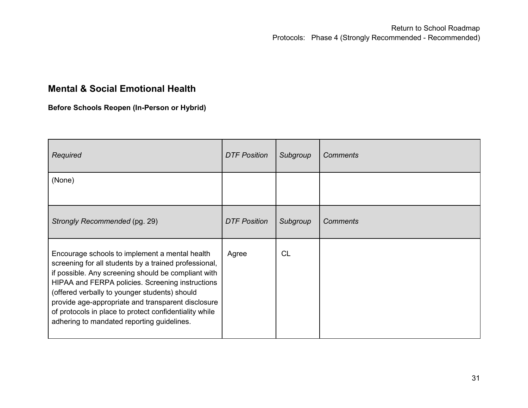# **Mental & Social Emotional Health**

**Before Schools Reopen (In-Person or Hybrid)**

| Required                                                                                                                                                                                                                                                                                                                                                                                                                          | <b>DTF Position</b> | Subgroup  | <b>Comments</b> |
|-----------------------------------------------------------------------------------------------------------------------------------------------------------------------------------------------------------------------------------------------------------------------------------------------------------------------------------------------------------------------------------------------------------------------------------|---------------------|-----------|-----------------|
| (None)                                                                                                                                                                                                                                                                                                                                                                                                                            |                     |           |                 |
| Strongly Recommended (pg. 29)                                                                                                                                                                                                                                                                                                                                                                                                     | <b>DTF Position</b> | Subgroup  | <b>Comments</b> |
| Encourage schools to implement a mental health<br>screening for all students by a trained professional,<br>if possible. Any screening should be compliant with<br>HIPAA and FERPA policies. Screening instructions<br>(offered verbally to younger students) should<br>provide age-appropriate and transparent disclosure<br>of protocols in place to protect confidentiality while<br>adhering to mandated reporting guidelines. | Agree               | <b>CL</b> |                 |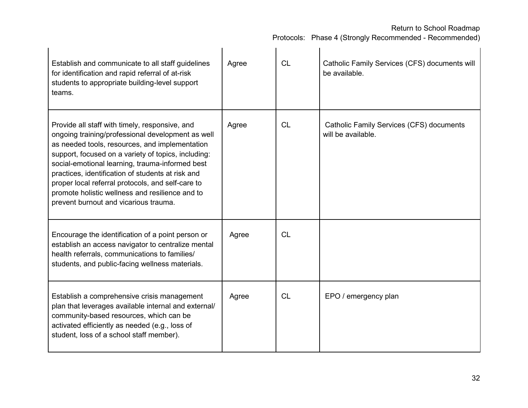| Establish and communicate to all staff guidelines<br>for identification and rapid referral of at-risk<br>students to appropriate building-level support<br>teams.                                                                                                                                                                                                                                                                                                     | Agree | <b>CL</b> | Catholic Family Services (CFS) documents will<br>be available. |
|-----------------------------------------------------------------------------------------------------------------------------------------------------------------------------------------------------------------------------------------------------------------------------------------------------------------------------------------------------------------------------------------------------------------------------------------------------------------------|-------|-----------|----------------------------------------------------------------|
| Provide all staff with timely, responsive, and<br>ongoing training/professional development as well<br>as needed tools, resources, and implementation<br>support, focused on a variety of topics, including:<br>social-emotional learning, trauma-informed best<br>practices, identification of students at risk and<br>proper local referral protocols, and self-care to<br>promote holistic wellness and resilience and to<br>prevent burnout and vicarious trauma. | Agree | <b>CL</b> | Catholic Family Services (CFS) documents<br>will be available. |
| Encourage the identification of a point person or<br>establish an access navigator to centralize mental<br>health referrals, communications to families/<br>students, and public-facing wellness materials.                                                                                                                                                                                                                                                           | Agree | <b>CL</b> |                                                                |
| Establish a comprehensive crisis management<br>plan that leverages available internal and external/<br>community-based resources, which can be<br>activated efficiently as needed (e.g., loss of<br>student, loss of a school staff member).                                                                                                                                                                                                                          | Agree | CL        | EPO / emergency plan                                           |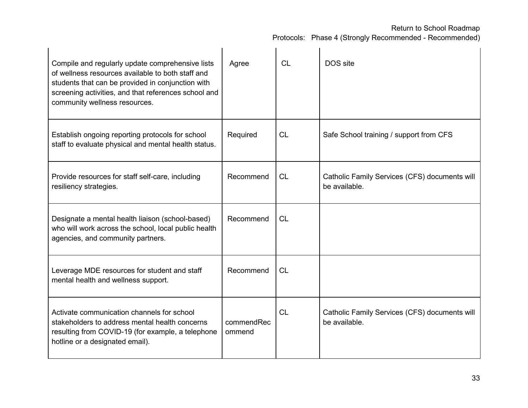| Compile and regularly update comprehensive lists<br>of wellness resources available to both staff and<br>students that can be provided in conjunction with<br>screening activities, and that references school and<br>community wellness resources. | Agree                | CL        | DOS site                                                       |
|-----------------------------------------------------------------------------------------------------------------------------------------------------------------------------------------------------------------------------------------------------|----------------------|-----------|----------------------------------------------------------------|
| Establish ongoing reporting protocols for school<br>staff to evaluate physical and mental health status.                                                                                                                                            | Required             | <b>CL</b> | Safe School training / support from CFS                        |
| Provide resources for staff self-care, including<br>resiliency strategies.                                                                                                                                                                          | Recommend            | <b>CL</b> | Catholic Family Services (CFS) documents will<br>be available. |
| Designate a mental health liaison (school-based)<br>who will work across the school, local public health<br>agencies, and community partners.                                                                                                       | Recommend            | <b>CL</b> |                                                                |
| Leverage MDE resources for student and staff<br>mental health and wellness support.                                                                                                                                                                 | Recommend            | CL        |                                                                |
| Activate communication channels for school<br>stakeholders to address mental health concerns<br>resulting from COVID-19 (for example, a telephone<br>hotline or a designated email).                                                                | commendRec<br>ommend | <b>CL</b> | Catholic Family Services (CFS) documents will<br>be available. |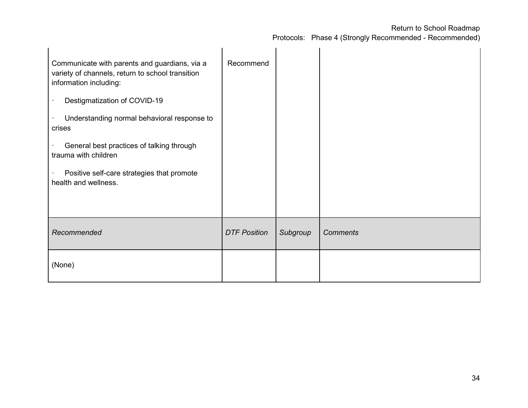| Communicate with parents and guardians, via a<br>variety of channels, return to school transition<br>information including:<br>Destigmatization of COVID-19<br>Understanding normal behavioral response to | Recommend           |          |                 |
|------------------------------------------------------------------------------------------------------------------------------------------------------------------------------------------------------------|---------------------|----------|-----------------|
| crises                                                                                                                                                                                                     |                     |          |                 |
| General best practices of talking through<br>trauma with children                                                                                                                                          |                     |          |                 |
| Positive self-care strategies that promote<br>health and wellness.                                                                                                                                         |                     |          |                 |
|                                                                                                                                                                                                            |                     |          |                 |
| Recommended                                                                                                                                                                                                | <b>DTF Position</b> | Subgroup | <b>Comments</b> |
| (None)                                                                                                                                                                                                     |                     |          |                 |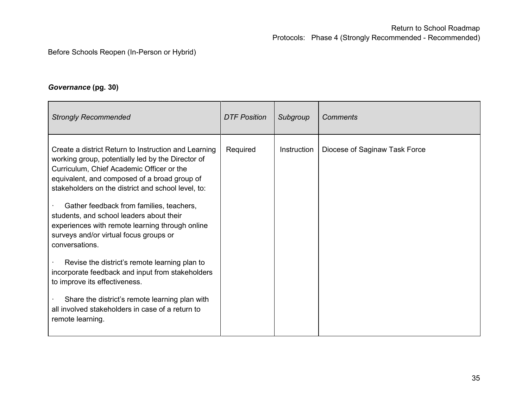### Before Schools Reopen (In-Person or Hybrid)

### *Governance* **(pg. 30)**

| <b>Strongly Recommended</b>                                                                                                                                                                                                                                                                                                                                                                                                                                         | <b>DTF Position</b> | Subgroup    | <b>Comments</b>               |
|---------------------------------------------------------------------------------------------------------------------------------------------------------------------------------------------------------------------------------------------------------------------------------------------------------------------------------------------------------------------------------------------------------------------------------------------------------------------|---------------------|-------------|-------------------------------|
| Create a district Return to Instruction and Learning<br>working group, potentially led by the Director of<br>Curriculum, Chief Academic Officer or the<br>equivalent, and composed of a broad group of<br>stakeholders on the district and school level, to:<br>Gather feedback from families, teachers,<br>students, and school leaders about their<br>experiences with remote learning through online<br>surveys and/or virtual focus groups or<br>conversations. | Required            | Instruction | Diocese of Saginaw Task Force |
| Revise the district's remote learning plan to<br>incorporate feedback and input from stakeholders<br>to improve its effectiveness.<br>Share the district's remote learning plan with<br>all involved stakeholders in case of a return to<br>remote learning.                                                                                                                                                                                                        |                     |             |                               |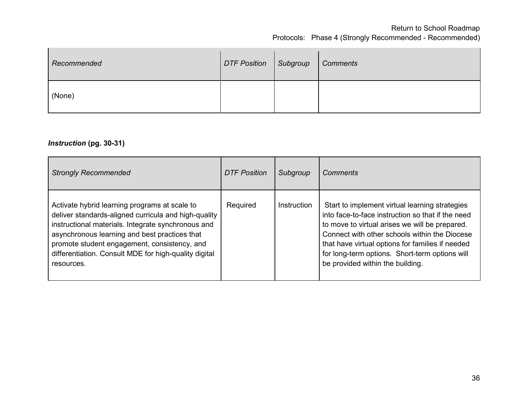| Recommended | DTF Position   Subgroup | Comments |
|-------------|-------------------------|----------|
| (None)      |                         |          |

#### *Instruction* **(pg. 30-31)**

| <b>Strongly Recommended</b>                                                                                                                                                                                                                                                                                                         | <b>DTF Position</b> | Subgroup    | Comments                                                                                                                                                                                                                                                                                                                                         |
|-------------------------------------------------------------------------------------------------------------------------------------------------------------------------------------------------------------------------------------------------------------------------------------------------------------------------------------|---------------------|-------------|--------------------------------------------------------------------------------------------------------------------------------------------------------------------------------------------------------------------------------------------------------------------------------------------------------------------------------------------------|
| Activate hybrid learning programs at scale to<br>deliver standards-aligned curricula and high-quality<br>instructional materials. Integrate synchronous and<br>asynchronous learning and best practices that<br>promote student engagement, consistency, and<br>differentiation. Consult MDE for high-quality digital<br>resources. | Required            | Instruction | Start to implement virtual learning strategies<br>into face-to-face instruction so that if the need<br>to move to virtual arises we will be prepared.<br>Connect with other schools within the Diocese<br>that have virtual options for families if needed<br>for long-term options. Short-term options will<br>be provided within the building. |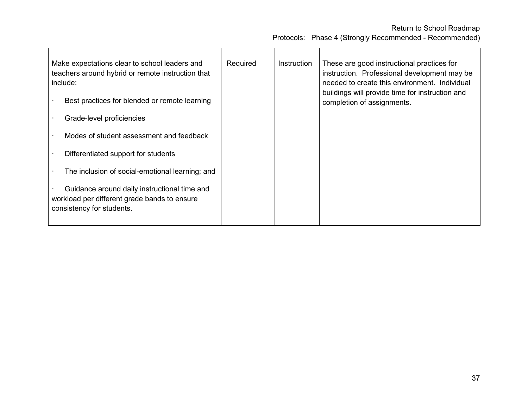| Make expectations clear to school leaders and<br>teachers around hybrid or remote instruction that<br>include:            | Required | Instruction | These are good instructional practices for<br>instruction. Professional development may be<br>needed to create this environment. Individual |
|---------------------------------------------------------------------------------------------------------------------------|----------|-------------|---------------------------------------------------------------------------------------------------------------------------------------------|
| Best practices for blended or remote learning                                                                             |          |             | buildings will provide time for instruction and<br>completion of assignments.                                                               |
| Grade-level proficiencies                                                                                                 |          |             |                                                                                                                                             |
| Modes of student assessment and feedback                                                                                  |          |             |                                                                                                                                             |
| Differentiated support for students                                                                                       |          |             |                                                                                                                                             |
| The inclusion of social-emotional learning; and                                                                           |          |             |                                                                                                                                             |
| Guidance around daily instructional time and<br>workload per different grade bands to ensure<br>consistency for students. |          |             |                                                                                                                                             |
|                                                                                                                           |          |             |                                                                                                                                             |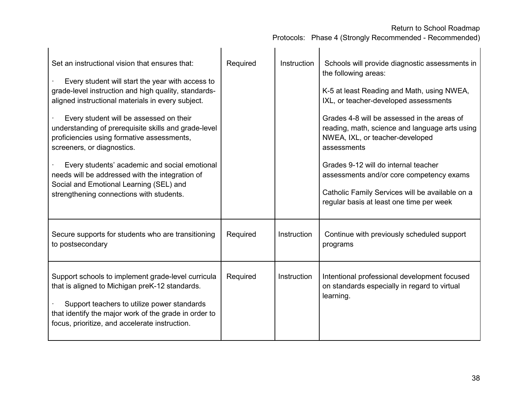| Set an instructional vision that ensures that:<br>Every student will start the year with access to<br>grade-level instruction and high quality, standards-<br>aligned instructional materials in every subject.<br>Every student will be assessed on their<br>understanding of prerequisite skills and grade-level<br>proficiencies using formative assessments,<br>screeners, or diagnostics.<br>Every students' academic and social emotional<br>needs will be addressed with the integration of<br>Social and Emotional Learning (SEL) and<br>strengthening connections with students. | Required | <b>Instruction</b> | Schools will provide diagnostic assessments in<br>the following areas:<br>K-5 at least Reading and Math, using NWEA,<br>IXL, or teacher-developed assessments<br>Grades 4-8 will be assessed in the areas of<br>reading, math, science and language arts using<br>NWEA, IXL, or teacher-developed<br>assessments<br>Grades 9-12 will do internal teacher<br>assessments and/or core competency exams<br>Catholic Family Services will be available on a<br>regular basis at least one time per week |
|-------------------------------------------------------------------------------------------------------------------------------------------------------------------------------------------------------------------------------------------------------------------------------------------------------------------------------------------------------------------------------------------------------------------------------------------------------------------------------------------------------------------------------------------------------------------------------------------|----------|--------------------|-----------------------------------------------------------------------------------------------------------------------------------------------------------------------------------------------------------------------------------------------------------------------------------------------------------------------------------------------------------------------------------------------------------------------------------------------------------------------------------------------------|
| Secure supports for students who are transitioning<br>to postsecondary                                                                                                                                                                                                                                                                                                                                                                                                                                                                                                                    | Required | <b>Instruction</b> | Continue with previously scheduled support<br>programs                                                                                                                                                                                                                                                                                                                                                                                                                                              |
| Support schools to implement grade-level curricula<br>that is aligned to Michigan preK-12 standards.<br>Support teachers to utilize power standards<br>that identify the major work of the grade in order to<br>focus, prioritize, and accelerate instruction.                                                                                                                                                                                                                                                                                                                            | Required | Instruction        | Intentional professional development focused<br>on standards especially in regard to virtual<br>learning.                                                                                                                                                                                                                                                                                                                                                                                           |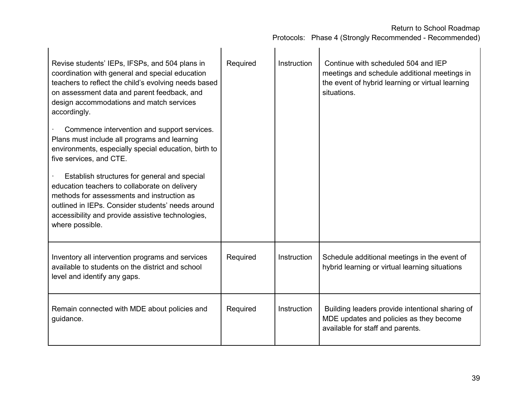| Revise students' IEPs, IFSPs, and 504 plans in<br>coordination with general and special education<br>teachers to reflect the child's evolving needs based<br>on assessment data and parent feedback, and<br>design accommodations and match services<br>accordingly.<br>Commence intervention and support services.<br>Plans must include all programs and learning<br>environments, especially special education, birth to<br>five services, and CTE.<br>Establish structures for general and special<br>education teachers to collaborate on delivery<br>methods for assessments and instruction as<br>outlined in IEPs. Consider students' needs around<br>accessibility and provide assistive technologies,<br>where possible. | Required | Instruction | Continue with scheduled 504 and IEP<br>meetings and schedule additional meetings in<br>the event of hybrid learning or virtual learning<br>situations. |
|------------------------------------------------------------------------------------------------------------------------------------------------------------------------------------------------------------------------------------------------------------------------------------------------------------------------------------------------------------------------------------------------------------------------------------------------------------------------------------------------------------------------------------------------------------------------------------------------------------------------------------------------------------------------------------------------------------------------------------|----------|-------------|--------------------------------------------------------------------------------------------------------------------------------------------------------|
| Inventory all intervention programs and services<br>available to students on the district and school<br>level and identify any gaps.                                                                                                                                                                                                                                                                                                                                                                                                                                                                                                                                                                                               | Required | Instruction | Schedule additional meetings in the event of<br>hybrid learning or virtual learning situations                                                         |
| Remain connected with MDE about policies and<br>guidance.                                                                                                                                                                                                                                                                                                                                                                                                                                                                                                                                                                                                                                                                          | Required | Instruction | Building leaders provide intentional sharing of<br>MDE updates and policies as they become<br>available for staff and parents.                         |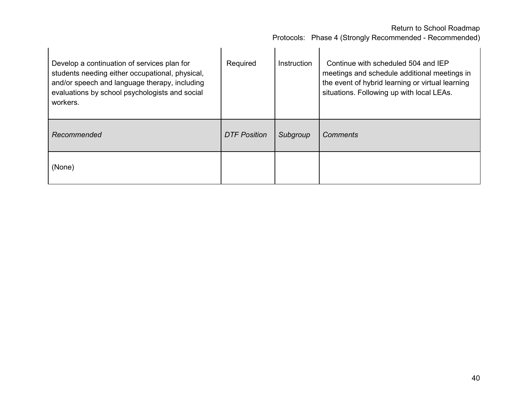| Develop a continuation of services plan for<br>students needing either occupational, physical,<br>and/or speech and language therapy, including<br>evaluations by school psychologists and social<br>workers. | Required            | <b>Instruction</b> | Continue with scheduled 504 and IEP<br>meetings and schedule additional meetings in<br>the event of hybrid learning or virtual learning<br>situations. Following up with local LEAs. |
|---------------------------------------------------------------------------------------------------------------------------------------------------------------------------------------------------------------|---------------------|--------------------|--------------------------------------------------------------------------------------------------------------------------------------------------------------------------------------|
| Recommended                                                                                                                                                                                                   | <b>DTF Position</b> | Subgroup           | Comments                                                                                                                                                                             |
| (None)                                                                                                                                                                                                        |                     |                    |                                                                                                                                                                                      |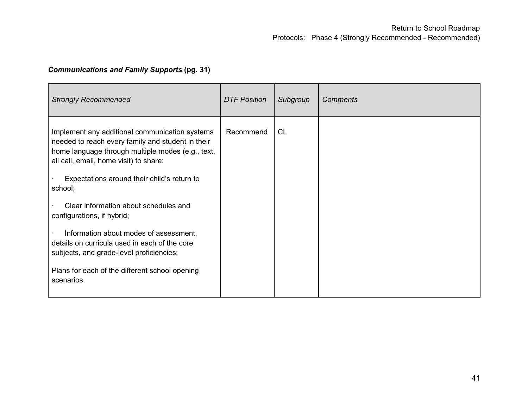# *Communications and Family Supports* **(pg. 31)**

| <b>Strongly Recommended</b>                                                                                                                                                                        | <b>DTF Position</b> | Subgroup  | <b>Comments</b> |
|----------------------------------------------------------------------------------------------------------------------------------------------------------------------------------------------------|---------------------|-----------|-----------------|
| Implement any additional communication systems<br>needed to reach every family and student in their<br>home language through multiple modes (e.g., text,<br>all call, email, home visit) to share: | Recommend           | <b>CL</b> |                 |
| Expectations around their child's return to<br>school;                                                                                                                                             |                     |           |                 |
| Clear information about schedules and<br>configurations, if hybrid;                                                                                                                                |                     |           |                 |
| Information about modes of assessment,<br>details on curricula used in each of the core<br>subjects, and grade-level proficiencies;                                                                |                     |           |                 |
| Plans for each of the different school opening<br>scenarios.                                                                                                                                       |                     |           |                 |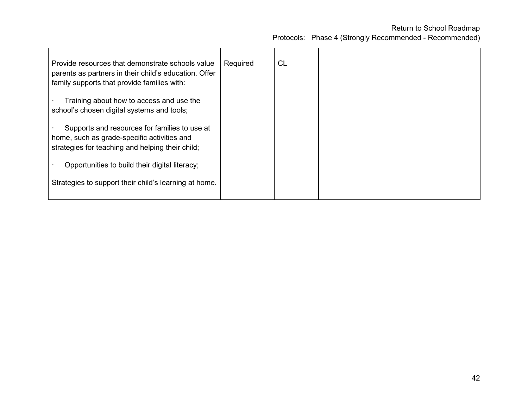| Provide resources that demonstrate schools value<br>parents as partners in their child's education. Offer<br>family supports that provide families with: | Required | CL |  |
|----------------------------------------------------------------------------------------------------------------------------------------------------------|----------|----|--|
| Training about how to access and use the<br>school's chosen digital systems and tools;                                                                   |          |    |  |
| Supports and resources for families to use at<br>home, such as grade-specific activities and<br>strategies for teaching and helping their child;         |          |    |  |
| Opportunities to build their digital literacy;                                                                                                           |          |    |  |
| Strategies to support their child's learning at home.                                                                                                    |          |    |  |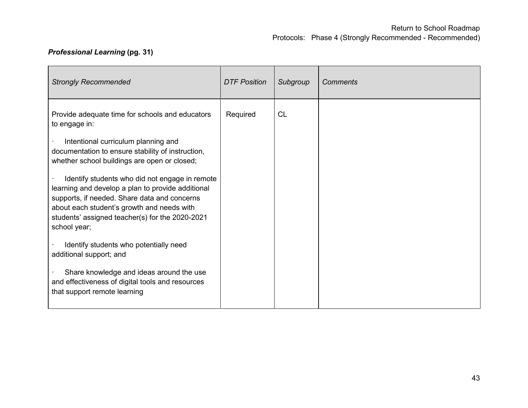# *Professional Learning* **(pg. 31)**

| <b>Strongly Recommended</b>                                                                                                                                                                                                                                                                                                                                                                                                                                                          | <b>DTF Position</b> | Subgroup  | <b>Comments</b> |
|--------------------------------------------------------------------------------------------------------------------------------------------------------------------------------------------------------------------------------------------------------------------------------------------------------------------------------------------------------------------------------------------------------------------------------------------------------------------------------------|---------------------|-----------|-----------------|
| Provide adequate time for schools and educators<br>to engage in:<br>Intentional curriculum planning and<br>documentation to ensure stability of instruction,<br>whether school buildings are open or closed;<br>Identify students who did not engage in remote<br>learning and develop a plan to provide additional<br>supports, if needed. Share data and concerns<br>about each student's growth and needs with<br>students' assigned teacher(s) for the 2020-2021<br>school year; | Required            | <b>CL</b> |                 |
| Identify students who potentially need<br>additional support; and<br>Share knowledge and ideas around the use<br>and effectiveness of digital tools and resources<br>that support remote learning                                                                                                                                                                                                                                                                                    |                     |           |                 |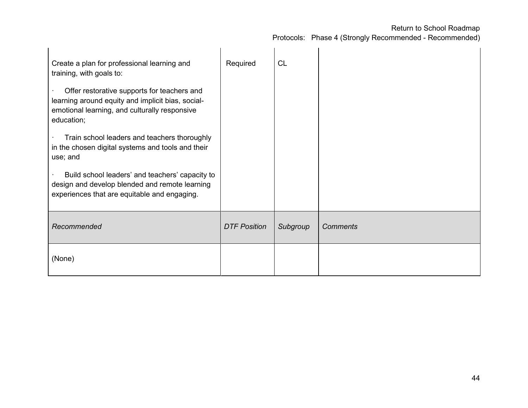| Create a plan for professional learning and<br>training, with goals to:                                                                                         | Required            | <b>CL</b> |                 |
|-----------------------------------------------------------------------------------------------------------------------------------------------------------------|---------------------|-----------|-----------------|
| Offer restorative supports for teachers and<br>learning around equity and implicit bias, social-<br>emotional learning, and culturally responsive<br>education; |                     |           |                 |
| Train school leaders and teachers thoroughly<br>in the chosen digital systems and tools and their<br>use; and                                                   |                     |           |                 |
| Build school leaders' and teachers' capacity to<br>design and develop blended and remote learning<br>experiences that are equitable and engaging.               |                     |           |                 |
| Recommended                                                                                                                                                     | <b>DTF Position</b> | Subgroup  | <b>Comments</b> |
| (None)                                                                                                                                                          |                     |           |                 |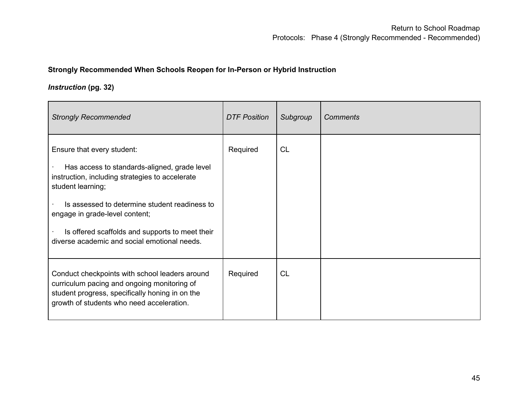#### **Strongly Recommended When Schools Reopen for In-Person or Hybrid Instruction**

### *Instruction* **(pg. 32)**

| <b>Strongly Recommended</b>                                                                                                                                                                                                                                                                                                              | <b>DTF Position</b> | Subgroup  | <b>Comments</b> |
|------------------------------------------------------------------------------------------------------------------------------------------------------------------------------------------------------------------------------------------------------------------------------------------------------------------------------------------|---------------------|-----------|-----------------|
| Ensure that every student:<br>Has access to standards-aligned, grade level<br>instruction, including strategies to accelerate<br>student learning;<br>Is assessed to determine student readiness to<br>engage in grade-level content;<br>Is offered scaffolds and supports to meet their<br>diverse academic and social emotional needs. | Required            | <b>CL</b> |                 |
| Conduct checkpoints with school leaders around<br>curriculum pacing and ongoing monitoring of<br>student progress, specifically honing in on the<br>growth of students who need acceleration.                                                                                                                                            | Required            | <b>CL</b> |                 |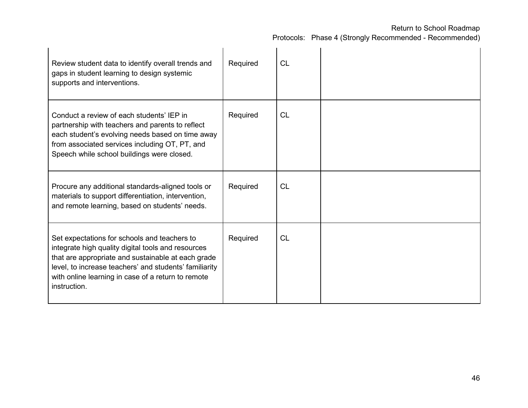| Review student data to identify overall trends and<br>gaps in student learning to design systemic<br>supports and interventions.                                                                                                                                                         | Required | <b>CL</b> |  |
|------------------------------------------------------------------------------------------------------------------------------------------------------------------------------------------------------------------------------------------------------------------------------------------|----------|-----------|--|
| Conduct a review of each students' IEP in<br>partnership with teachers and parents to reflect<br>each student's evolving needs based on time away<br>from associated services including OT, PT, and<br>Speech while school buildings were closed.                                        | Required | <b>CL</b> |  |
| Procure any additional standards-aligned tools or<br>materials to support differentiation, intervention,<br>and remote learning, based on students' needs.                                                                                                                               | Required | <b>CL</b> |  |
| Set expectations for schools and teachers to<br>integrate high quality digital tools and resources<br>that are appropriate and sustainable at each grade<br>level, to increase teachers' and students' familiarity<br>with online learning in case of a return to remote<br>instruction. | Required | <b>CL</b> |  |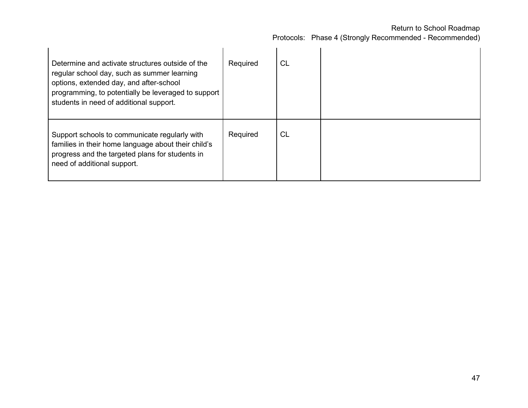| Determine and activate structures outside of the<br>regular school day, such as summer learning<br>options, extended day, and after-school<br>programming, to potentially be leveraged to support<br>students in need of additional support. | Required | СL |  |
|----------------------------------------------------------------------------------------------------------------------------------------------------------------------------------------------------------------------------------------------|----------|----|--|
| Support schools to communicate regularly with<br>families in their home language about their child's<br>progress and the targeted plans for students in<br>need of additional support.                                                       | Required | CL |  |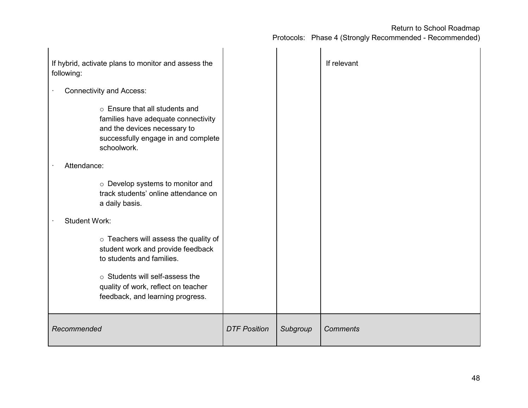| If hybrid, activate plans to monitor and assess the<br>following:                                                                                                                                                                 |                     |          | If relevant     |
|-----------------------------------------------------------------------------------------------------------------------------------------------------------------------------------------------------------------------------------|---------------------|----------|-----------------|
| <b>Connectivity and Access:</b>                                                                                                                                                                                                   |                     |          |                 |
| ○ Ensure that all students and<br>families have adequate connectivity<br>and the devices necessary to<br>successfully engage in and complete<br>schoolwork.                                                                       |                     |          |                 |
| Attendance:                                                                                                                                                                                                                       |                     |          |                 |
| o Develop systems to monitor and<br>track students' online attendance on<br>a daily basis.                                                                                                                                        |                     |          |                 |
| <b>Student Work:</b>                                                                                                                                                                                                              |                     |          |                 |
| $\circ$ Teachers will assess the quality of<br>student work and provide feedback<br>to students and families.<br>$\circ$ Students will self-assess the<br>quality of work, reflect on teacher<br>feedback, and learning progress. |                     |          |                 |
| Recommended                                                                                                                                                                                                                       | <b>DTF Position</b> | Subgroup | <b>Comments</b> |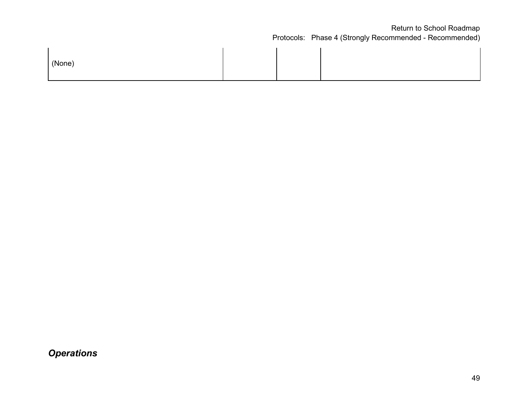| (None) |  |  |  |
|--------|--|--|--|
|--------|--|--|--|

*Operations*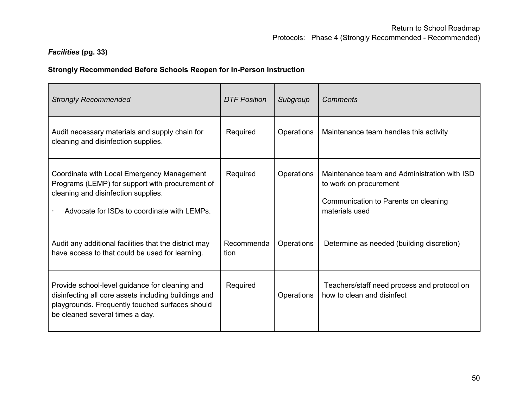# *Facilities* **(pg. 33)**

## **Strongly Recommended Before Schools Reopen for In-Person Instruction**

| <b>Strongly Recommended</b>                                                                                                                                                                  | <b>DTF Position</b> | Subgroup   | Comments                                                                                                                         |
|----------------------------------------------------------------------------------------------------------------------------------------------------------------------------------------------|---------------------|------------|----------------------------------------------------------------------------------------------------------------------------------|
| Audit necessary materials and supply chain for<br>cleaning and disinfection supplies.                                                                                                        | Required            | Operations | Maintenance team handles this activity                                                                                           |
| Coordinate with Local Emergency Management<br>Programs (LEMP) for support with procurement of<br>cleaning and disinfection supplies.<br>Advocate for ISDs to coordinate with LEMPs.          | Required            | Operations | Maintenance team and Administration with ISD<br>to work on procurement<br>Communication to Parents on cleaning<br>materials used |
| Audit any additional facilities that the district may<br>have access to that could be used for learning.                                                                                     | Recommenda<br>tion  | Operations | Determine as needed (building discretion)                                                                                        |
| Provide school-level guidance for cleaning and<br>disinfecting all core assets including buildings and<br>playgrounds. Frequently touched surfaces should<br>be cleaned several times a day. | Required            | Operations | Teachers/staff need process and protocol on<br>how to clean and disinfect                                                        |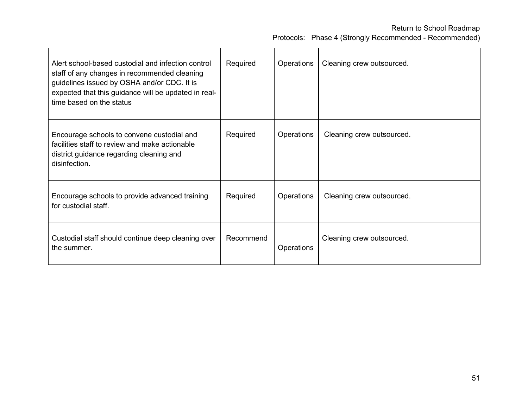| Alert school-based custodial and infection control<br>staff of any changes in recommended cleaning<br>guidelines issued by OSHA and/or CDC. It is<br>expected that this guidance will be updated in real-<br>time based on the status | Required  | Operations | Cleaning crew outsourced. |
|---------------------------------------------------------------------------------------------------------------------------------------------------------------------------------------------------------------------------------------|-----------|------------|---------------------------|
| Encourage schools to convene custodial and<br>facilities staff to review and make actionable<br>district guidance regarding cleaning and<br>disinfection.                                                                             | Required  | Operations | Cleaning crew outsourced. |
| Encourage schools to provide advanced training<br>for custodial staff.                                                                                                                                                                | Required  | Operations | Cleaning crew outsourced. |
| Custodial staff should continue deep cleaning over<br>the summer.                                                                                                                                                                     | Recommend | Operations | Cleaning crew outsourced. |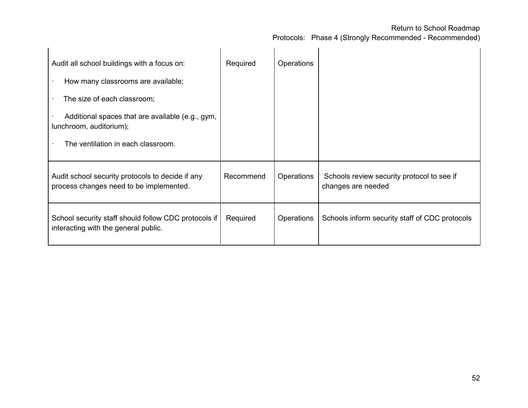| Audit all school buildings with a focus on:                                                  | Required  | Operations        |                                                                  |
|----------------------------------------------------------------------------------------------|-----------|-------------------|------------------------------------------------------------------|
| How many classrooms are available;                                                           |           |                   |                                                                  |
| The size of each classroom;                                                                  |           |                   |                                                                  |
| Additional spaces that are available (e.g., gym,<br>lunchroom, auditorium);                  |           |                   |                                                                  |
| The ventilation in each classroom.                                                           |           |                   |                                                                  |
| Audit school security protocols to decide if any<br>process changes need to be implemented.  | Recommend | <b>Operations</b> | Schools review security protocol to see if<br>changes are needed |
| School security staff should follow CDC protocols if<br>interacting with the general public. | Required  | Operations        | Schools inform security staff of CDC protocols                   |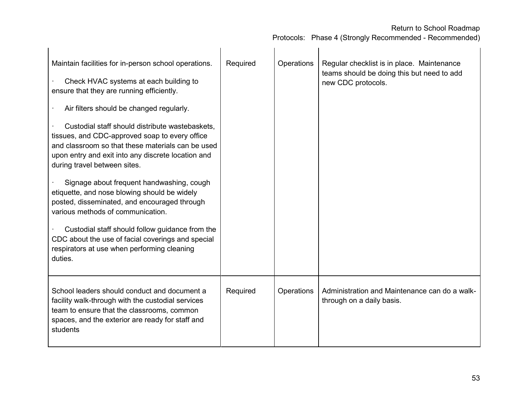| Maintain facilities for in-person school operations.<br>Check HVAC systems at each building to<br>ensure that they are running efficiently.<br>Air filters should be changed regularly.<br>Custodial staff should distribute wastebaskets,<br>tissues, and CDC-approved soap to every office<br>and classroom so that these materials can be used<br>upon entry and exit into any discrete location and<br>during travel between sites.<br>Signage about frequent handwashing, cough<br>etiquette, and nose blowing should be widely<br>posted, disseminated, and encouraged through<br>various methods of communication.<br>Custodial staff should follow guidance from the<br>CDC about the use of facial coverings and special<br>respirators at use when performing cleaning<br>duties. | Required | Operations | Regular checklist is in place. Maintenance<br>teams should be doing this but need to add<br>new CDC protocols. |
|---------------------------------------------------------------------------------------------------------------------------------------------------------------------------------------------------------------------------------------------------------------------------------------------------------------------------------------------------------------------------------------------------------------------------------------------------------------------------------------------------------------------------------------------------------------------------------------------------------------------------------------------------------------------------------------------------------------------------------------------------------------------------------------------|----------|------------|----------------------------------------------------------------------------------------------------------------|
| School leaders should conduct and document a<br>facility walk-through with the custodial services<br>team to ensure that the classrooms, common<br>spaces, and the exterior are ready for staff and<br>students                                                                                                                                                                                                                                                                                                                                                                                                                                                                                                                                                                             | Required | Operations | Administration and Maintenance can do a walk-<br>through on a daily basis.                                     |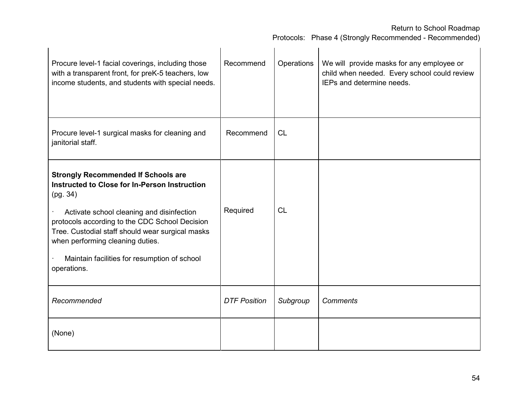| Procure level-1 facial coverings, including those<br>with a transparent front, for preK-5 teachers, low<br>income students, and students with special needs.                                                                                                                                                                                                  | Recommend           | Operations | We will provide masks for any employee or<br>child when needed. Every school could review<br>IEPs and determine needs. |
|---------------------------------------------------------------------------------------------------------------------------------------------------------------------------------------------------------------------------------------------------------------------------------------------------------------------------------------------------------------|---------------------|------------|------------------------------------------------------------------------------------------------------------------------|
| Procure level-1 surgical masks for cleaning and<br>janitorial staff.                                                                                                                                                                                                                                                                                          | Recommend           | <b>CL</b>  |                                                                                                                        |
| <b>Strongly Recommended If Schools are</b><br>Instructed to Close for In-Person Instruction<br>(pg. 34)<br>Activate school cleaning and disinfection<br>protocols according to the CDC School Decision<br>Tree. Custodial staff should wear surgical masks<br>when performing cleaning duties.<br>Maintain facilities for resumption of school<br>operations. | Required            | <b>CL</b>  |                                                                                                                        |
| Recommended                                                                                                                                                                                                                                                                                                                                                   | <b>DTF Position</b> | Subgroup   | <b>Comments</b>                                                                                                        |
| (None)                                                                                                                                                                                                                                                                                                                                                        |                     |            |                                                                                                                        |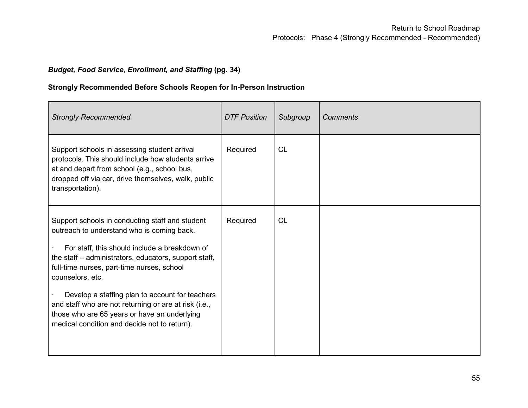## *Budget, Food Service, Enrollment, and Staffing* **(pg. 34)**

## **Strongly Recommended Before Schools Reopen for In-Person Instruction**

| <b>Strongly Recommended</b>                                                                                                                                                                                                                                                                                                                                                                                                                                                           | <b>DTF Position</b> | Subgroup  | <b>Comments</b> |
|---------------------------------------------------------------------------------------------------------------------------------------------------------------------------------------------------------------------------------------------------------------------------------------------------------------------------------------------------------------------------------------------------------------------------------------------------------------------------------------|---------------------|-----------|-----------------|
| Support schools in assessing student arrival<br>protocols. This should include how students arrive<br>at and depart from school (e.g., school bus,<br>dropped off via car, drive themselves, walk, public<br>transportation).                                                                                                                                                                                                                                                         | Required            | <b>CL</b> |                 |
| Support schools in conducting staff and student<br>outreach to understand who is coming back.<br>For staff, this should include a breakdown of<br>the staff – administrators, educators, support staff,<br>full-time nurses, part-time nurses, school<br>counselors, etc.<br>Develop a staffing plan to account for teachers<br>and staff who are not returning or are at risk (i.e.,<br>those who are 65 years or have an underlying<br>medical condition and decide not to return). | Required            | <b>CL</b> |                 |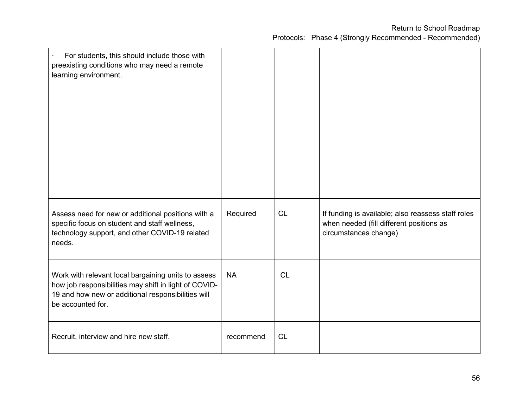| For students, this should include those with<br>preexisting conditions who may need a remote<br>learning environment.                                                                   |           |           |                                                                                                                         |
|-----------------------------------------------------------------------------------------------------------------------------------------------------------------------------------------|-----------|-----------|-------------------------------------------------------------------------------------------------------------------------|
| Assess need for new or additional positions with a<br>specific focus on student and staff wellness,<br>technology support, and other COVID-19 related<br>needs.                         | Required  | <b>CL</b> | If funding is available; also reassess staff roles<br>when needed (fill different positions as<br>circumstances change) |
| Work with relevant local bargaining units to assess<br>how job responsibilities may shift in light of COVID-<br>19 and how new or additional responsibilities will<br>be accounted for. | <b>NA</b> | <b>CL</b> |                                                                                                                         |
| Recruit, interview and hire new staff.                                                                                                                                                  | recommend | <b>CL</b> |                                                                                                                         |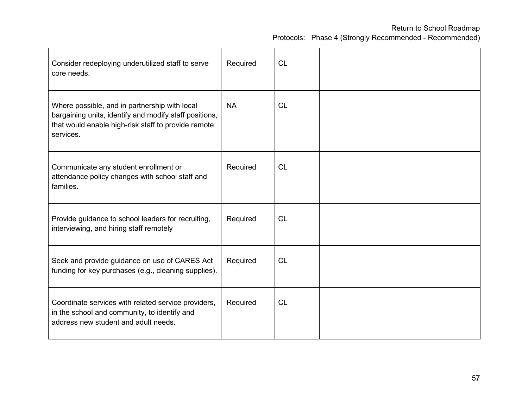| Consider redeploying underutilized staff to serve<br>core needs.                                                                                                            | Required  | <b>CL</b> |  |
|-----------------------------------------------------------------------------------------------------------------------------------------------------------------------------|-----------|-----------|--|
| Where possible, and in partnership with local<br>bargaining units, identify and modify staff positions,<br>that would enable high-risk staff to provide remote<br>services. | <b>NA</b> | CL        |  |
| Communicate any student enrollment or<br>attendance policy changes with school staff and<br>families.                                                                       | Required  | CL        |  |
| Provide guidance to school leaders for recruiting,<br>interviewing, and hiring staff remotely                                                                               | Required  | <b>CL</b> |  |
| Seek and provide guidance on use of CARES Act<br>funding for key purchases (e.g., cleaning supplies).                                                                       | Required  | <b>CL</b> |  |
| Coordinate services with related service providers,<br>in the school and community, to identify and<br>address new student and adult needs.                                 | Required  | <b>CL</b> |  |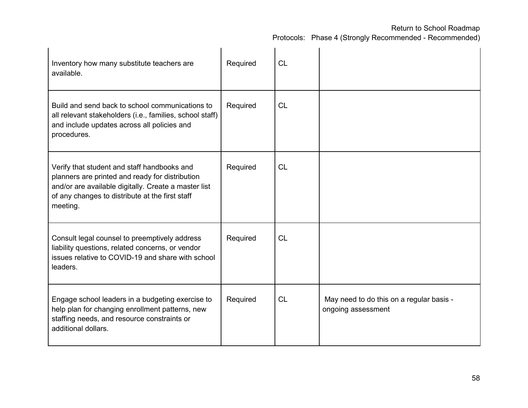| Inventory how many substitute teachers are<br>available.                                                                                                                                                              | Required | <b>CL</b> |                                                                |
|-----------------------------------------------------------------------------------------------------------------------------------------------------------------------------------------------------------------------|----------|-----------|----------------------------------------------------------------|
| Build and send back to school communications to<br>all relevant stakeholders (i.e., families, school staff)<br>and include updates across all policies and<br>procedures.                                             | Required | <b>CL</b> |                                                                |
| Verify that student and staff handbooks and<br>planners are printed and ready for distribution<br>and/or are available digitally. Create a master list<br>of any changes to distribute at the first staff<br>meeting. | Required | <b>CL</b> |                                                                |
| Consult legal counsel to preemptively address<br>liability questions, related concerns, or vendor<br>issues relative to COVID-19 and share with school<br>leaders.                                                    | Required | <b>CL</b> |                                                                |
| Engage school leaders in a budgeting exercise to<br>help plan for changing enrollment patterns, new<br>staffing needs, and resource constraints or<br>additional dollars.                                             | Required | <b>CL</b> | May need to do this on a regular basis -<br>ongoing assessment |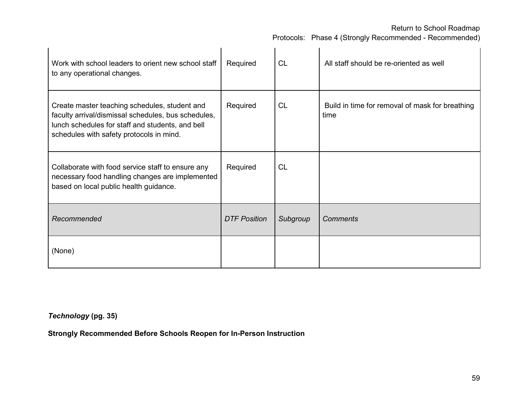Protocols: Phase 4 (Strongly Recommended - Recommended)

| Work with school leaders to orient new school staff<br>to any operational changes.                                                                                                                   | Required            | <b>CL</b> | All staff should be re-oriented as well                 |
|------------------------------------------------------------------------------------------------------------------------------------------------------------------------------------------------------|---------------------|-----------|---------------------------------------------------------|
| Create master teaching schedules, student and<br>faculty arrival/dismissal schedules, bus schedules,<br>lunch schedules for staff and students, and bell<br>schedules with safety protocols in mind. | Required            | <b>CL</b> | Build in time for removal of mask for breathing<br>time |
| Collaborate with food service staff to ensure any<br>necessary food handling changes are implemented<br>based on local public health guidance.                                                       | Required            | <b>CL</b> |                                                         |
| Recommended                                                                                                                                                                                          | <b>DTF Position</b> | Subgroup  | <b>Comments</b>                                         |
| (None)                                                                                                                                                                                               |                     |           |                                                         |

*Technology* **(pg. 35)**

**Strongly Recommended Before Schools Reopen for In-Person Instruction**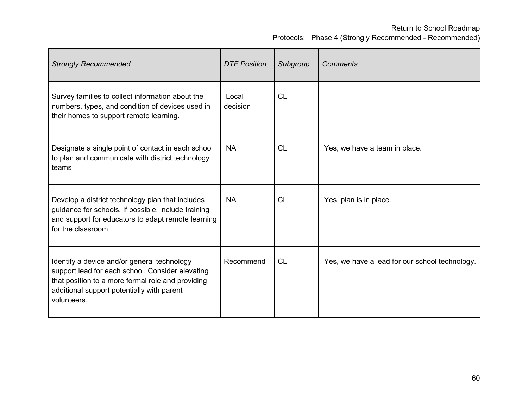| <b>Strongly Recommended</b>                                                                                                                                                                                       | <b>DTF Position</b> | Subgroup  | <b>Comments</b>                                |
|-------------------------------------------------------------------------------------------------------------------------------------------------------------------------------------------------------------------|---------------------|-----------|------------------------------------------------|
| Survey families to collect information about the<br>numbers, types, and condition of devices used in<br>their homes to support remote learning.                                                                   | Local<br>decision   | <b>CL</b> |                                                |
| Designate a single point of contact in each school<br>to plan and communicate with district technology<br>teams                                                                                                   | <b>NA</b>           | CL        | Yes, we have a team in place.                  |
| Develop a district technology plan that includes<br>guidance for schools. If possible, include training<br>and support for educators to adapt remote learning<br>for the classroom                                | <b>NA</b>           | CL        | Yes, plan is in place.                         |
| Identify a device and/or general technology<br>support lead for each school. Consider elevating<br>that position to a more formal role and providing<br>additional support potentially with parent<br>volunteers. | Recommend           | <b>CL</b> | Yes, we have a lead for our school technology. |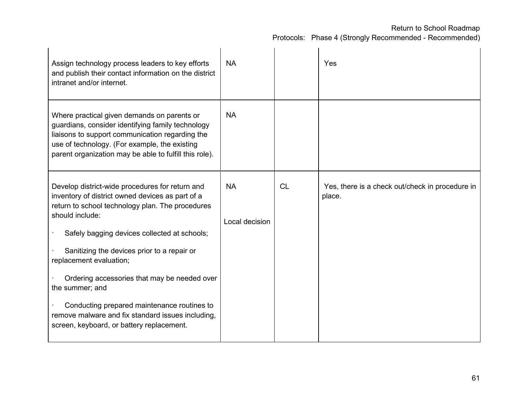| Assign technology process leaders to key efforts<br>and publish their contact information on the district<br>intranet and/or internet.                                                                                                                                                                                                                                                                                                                                                                                   | <b>NA</b>                   |    | Yes                                                       |
|--------------------------------------------------------------------------------------------------------------------------------------------------------------------------------------------------------------------------------------------------------------------------------------------------------------------------------------------------------------------------------------------------------------------------------------------------------------------------------------------------------------------------|-----------------------------|----|-----------------------------------------------------------|
| Where practical given demands on parents or<br>guardians, consider identifying family technology<br>liaisons to support communication regarding the<br>use of technology. (For example, the existing<br>parent organization may be able to fulfill this role).                                                                                                                                                                                                                                                           | <b>NA</b>                   |    |                                                           |
| Develop district-wide procedures for return and<br>inventory of district owned devices as part of a<br>return to school technology plan. The procedures<br>should include:<br>Safely bagging devices collected at schools;<br>Sanitizing the devices prior to a repair or<br>replacement evaluation;<br>Ordering accessories that may be needed over<br>the summer; and<br>Conducting prepared maintenance routines to<br>remove malware and fix standard issues including,<br>screen, keyboard, or battery replacement. | <b>NA</b><br>Local decision | CL | Yes, there is a check out/check in procedure in<br>place. |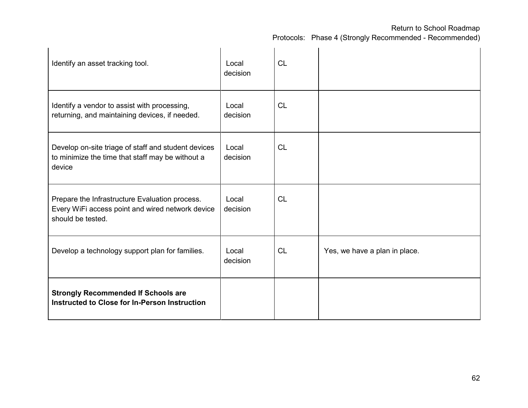| Identify an asset tracking tool.                                                                                        | Local<br>decision | <b>CL</b> |                               |
|-------------------------------------------------------------------------------------------------------------------------|-------------------|-----------|-------------------------------|
| Identify a vendor to assist with processing,<br>returning, and maintaining devices, if needed.                          | Local<br>decision | <b>CL</b> |                               |
| Develop on-site triage of staff and student devices<br>to minimize the time that staff may be without a<br>device       | Local<br>decision | CL        |                               |
| Prepare the Infrastructure Evaluation process.<br>Every WiFi access point and wired network device<br>should be tested. | Local<br>decision | <b>CL</b> |                               |
| Develop a technology support plan for families.                                                                         | Local<br>decision | <b>CL</b> | Yes, we have a plan in place. |
| <b>Strongly Recommended If Schools are</b><br>Instructed to Close for In-Person Instruction                             |                   |           |                               |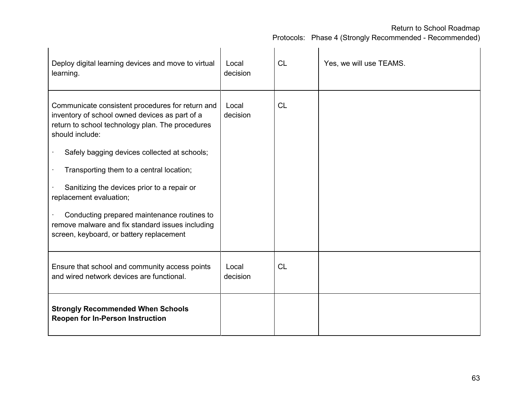| Deploy digital learning devices and move to virtual<br>learning.                                                                                                                                                                                                                                                                                                                                                                                                                               | Local<br>decision | <b>CL</b> | Yes, we will use TEAMS. |
|------------------------------------------------------------------------------------------------------------------------------------------------------------------------------------------------------------------------------------------------------------------------------------------------------------------------------------------------------------------------------------------------------------------------------------------------------------------------------------------------|-------------------|-----------|-------------------------|
| Communicate consistent procedures for return and<br>inventory of school owned devices as part of a<br>return to school technology plan. The procedures<br>should include:<br>Safely bagging devices collected at schools;<br>Transporting them to a central location;<br>Sanitizing the devices prior to a repair or<br>replacement evaluation;<br>Conducting prepared maintenance routines to<br>remove malware and fix standard issues including<br>screen, keyboard, or battery replacement | Local<br>decision | <b>CL</b> |                         |
| Ensure that school and community access points<br>and wired network devices are functional.                                                                                                                                                                                                                                                                                                                                                                                                    | Local<br>decision | <b>CL</b> |                         |
| <b>Strongly Recommended When Schools</b><br><b>Reopen for In-Person Instruction</b>                                                                                                                                                                                                                                                                                                                                                                                                            |                   |           |                         |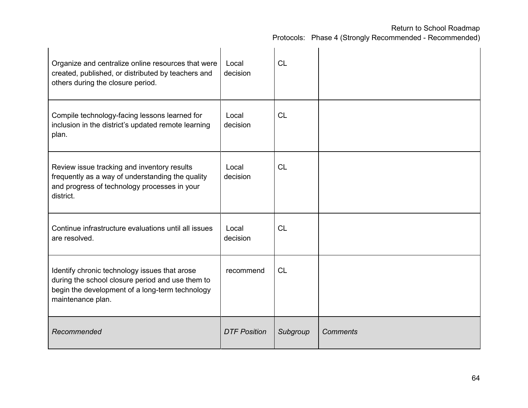| Organize and centralize online resources that were<br>created, published, or distributed by teachers and<br>others during the closure period.                             | Local<br>decision   | <b>CL</b> |          |
|---------------------------------------------------------------------------------------------------------------------------------------------------------------------------|---------------------|-----------|----------|
| Compile technology-facing lessons learned for<br>inclusion in the district's updated remote learning<br>plan.                                                             | Local<br>decision   | <b>CL</b> |          |
| Review issue tracking and inventory results<br>frequently as a way of understanding the quality<br>and progress of technology processes in your<br>district.              | Local<br>decision   | <b>CL</b> |          |
| Continue infrastructure evaluations until all issues<br>are resolved.                                                                                                     | Local<br>decision   | <b>CL</b> |          |
| Identify chronic technology issues that arose<br>during the school closure period and use them to<br>begin the development of a long-term technology<br>maintenance plan. | recommend           | CL        |          |
| Recommended                                                                                                                                                               | <b>DTF Position</b> | Subgroup  | Comments |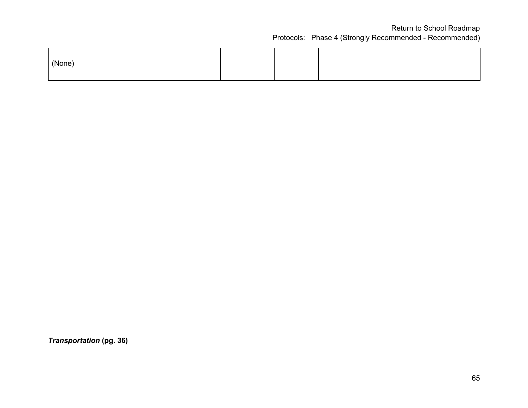| (None) |  |  |  |
|--------|--|--|--|
|--------|--|--|--|

*Transportation* **(pg. 36)**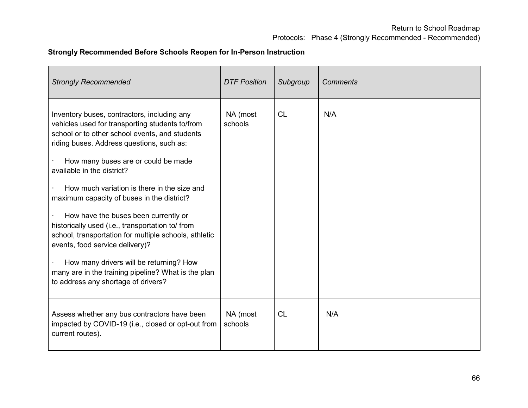## **Strongly Recommended Before Schools Reopen for In-Person Instruction**

| <b>Strongly Recommended</b>                                                                                                                                                                                                                                                                                                                                                                                                                                 | <b>DTF Position</b> | Subgroup  | <b>Comments</b> |
|-------------------------------------------------------------------------------------------------------------------------------------------------------------------------------------------------------------------------------------------------------------------------------------------------------------------------------------------------------------------------------------------------------------------------------------------------------------|---------------------|-----------|-----------------|
| Inventory buses, contractors, including any<br>vehicles used for transporting students to/from<br>school or to other school events, and students<br>riding buses. Address questions, such as:<br>How many buses are or could be made<br>available in the district?<br>How much variation is there in the size and<br>maximum capacity of buses in the district?<br>How have the buses been currently or<br>historically used (i.e., transportation to/ from | NA (most<br>schools | <b>CL</b> | N/A             |
| school, transportation for multiple schools, athletic<br>events, food service delivery)?                                                                                                                                                                                                                                                                                                                                                                    |                     |           |                 |
| How many drivers will be returning? How<br>many are in the training pipeline? What is the plan<br>to address any shortage of drivers?                                                                                                                                                                                                                                                                                                                       |                     |           |                 |
| Assess whether any bus contractors have been<br>impacted by COVID-19 (i.e., closed or opt-out from<br>current routes).                                                                                                                                                                                                                                                                                                                                      | NA (most<br>schools | <b>CL</b> | N/A             |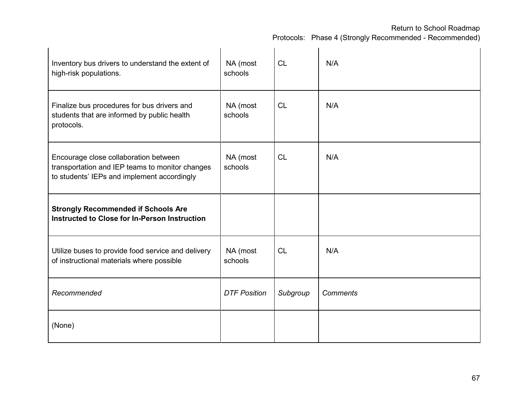| Inventory bus drivers to understand the extent of<br>high-risk populations.                                                             | NA (most<br>schools | <b>CL</b> | N/A             |
|-----------------------------------------------------------------------------------------------------------------------------------------|---------------------|-----------|-----------------|
| Finalize bus procedures for bus drivers and<br>students that are informed by public health<br>protocols.                                | NA (most<br>schools | <b>CL</b> | N/A             |
| Encourage close collaboration between<br>transportation and IEP teams to monitor changes<br>to students' IEPs and implement accordingly | NA (most<br>schools | CL        | N/A             |
| <b>Strongly Recommended if Schools Are</b><br>Instructed to Close for In-Person Instruction                                             |                     |           |                 |
| Utilize buses to provide food service and delivery<br>of instructional materials where possible                                         | NA (most<br>schools | <b>CL</b> | N/A             |
| Recommended                                                                                                                             | <b>DTF Position</b> | Subgroup  | <b>Comments</b> |
| (None)                                                                                                                                  |                     |           |                 |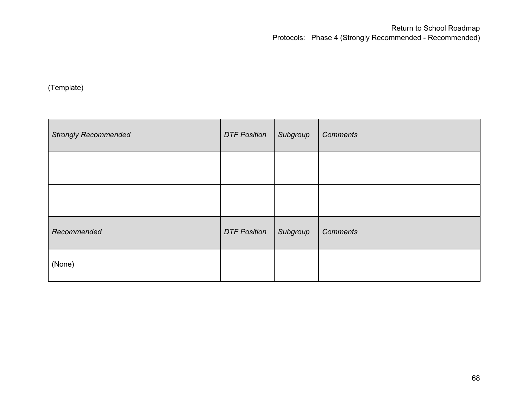(Template)

| <b>Strongly Recommended</b> | <b>DTF Position</b> | Subgroup | <b>Comments</b> |
|-----------------------------|---------------------|----------|-----------------|
|                             |                     |          |                 |
|                             |                     |          |                 |
| Recommended                 | <b>DTF Position</b> | Subgroup | <b>Comments</b> |
| (None)                      |                     |          |                 |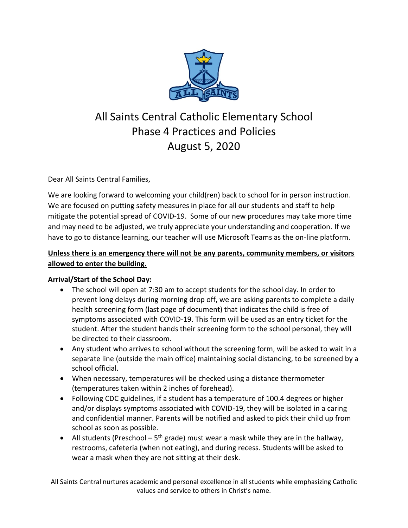

# All Saints Central Catholic Elementary School Phase 4 Practices and Policies August 5, 2020

Dear All Saints Central Families,

We are looking forward to welcoming your child(ren) back to school for in person instruction. We are focused on putting safety measures in place for all our students and staff to help mitigate the potential spread of COVID-19. Some of our new procedures may take more time and may need to be adjusted, we truly appreciate your understanding and cooperation. If we have to go to distance learning, our teacher will use Microsoft Teams as the on-line platform.

# **Unless there is an emergency there will not be any parents, community members, or visitors allowed to enter the building.**

## **Arrival/Start of the School Day:**

- The school will open at 7:30 am to accept students for the school day. In order to prevent long delays during morning drop off, we are asking parents to complete a daily health screening form (last page of document) that indicates the child is free of symptoms associated with COVID-19. This form will be used as an entry ticket for the student. After the student hands their screening form to the school personal, they will be directed to their classroom.
- Any student who arrives to school without the screening form, will be asked to wait in a separate line (outside the main office) maintaining social distancing, to be screened by a school official.
- When necessary, temperatures will be checked using a distance thermometer (temperatures taken within 2 inches of forehead).
- Following CDC guidelines, if a student has a temperature of 100.4 degrees or higher and/or displays symptoms associated with COVID-19, they will be isolated in a caring and confidential manner. Parents will be notified and asked to pick their child up from school as soon as possible.
- All students (Preschool  $-5<sup>th</sup>$  grade) must wear a mask while they are in the hallway, restrooms, cafeteria (when not eating), and during recess. Students will be asked to wear a mask when they are not sitting at their desk.

All Saints Central nurtures academic and personal excellence in all students while emphasizing Catholic values and service to others in Christ's name.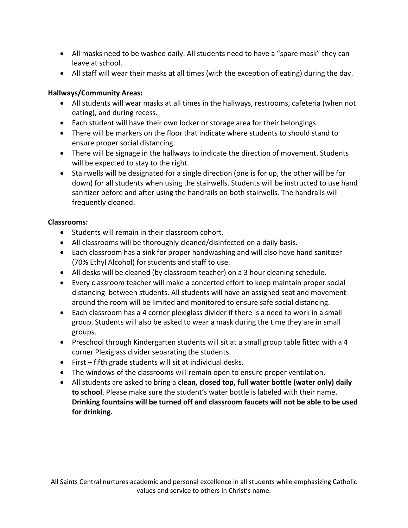- All masks need to be washed daily. All students need to have a "spare mask" they can leave at school.
- All staff will wear their masks at all times (with the exception of eating) during the day.

## **Hallways/Community Areas:**

- All students will wear masks at all times in the hallways, restrooms, cafeteria (when not eating), and during recess.
- Each student will have their own locker or storage area for their belongings.
- There will be markers on the floor that indicate where students to should stand to ensure proper social distancing.
- There will be signage in the hallways to indicate the direction of movement. Students will be expected to stay to the right.
- Stairwells will be designated for a single direction (one is for up, the other will be for down) for all students when using the stairwells. Students will be instructed to use hand sanitizer before and after using the handrails on both stairwells. The handrails will frequently cleaned.

## **Classrooms:**

- Students will remain in their classroom cohort.
- All classrooms will be thoroughly cleaned/disinfected on a daily basis.
- Each classroom has a sink for proper handwashing and will also have hand sanitizer (70% Ethyl Alcohol) for students and staff to use.
- All desks will be cleaned (by classroom teacher) on a 3 hour cleaning schedule.
- Every classroom teacher will make a concerted effort to keep maintain proper social distancing between students. All students will have an assigned seat and movement around the room will be limited and monitored to ensure safe social distancing.
- Each classroom has a 4 corner plexiglass divider if there is a need to work in a small group. Students will also be asked to wear a mask during the time they are in small groups.
- Preschool through Kindergarten students will sit at a small group table fitted with a 4 corner Plexiglass divider separating the students.
- First fifth grade students will sit at individual desks.
- The windows of the classrooms will remain open to ensure proper ventilation.
- All students are asked to bring a **clean, closed top, full water bottle (water only) daily to school**. Please make sure the student's water bottle is labeled with their name. **Drinking fountains will be turned off and classroom faucets will not be able to be used for drinking.**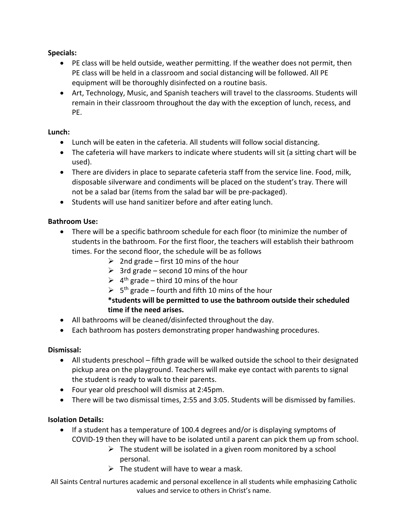## **Specials:**

- PE class will be held outside, weather permitting. If the weather does not permit, then PE class will be held in a classroom and social distancing will be followed. All PE equipment will be thoroughly disinfected on a routine basis.
- Art, Technology, Music, and Spanish teachers will travel to the classrooms. Students will remain in their classroom throughout the day with the exception of lunch, recess, and PE.

#### **Lunch:**

- Lunch will be eaten in the cafeteria. All students will follow social distancing.
- The cafeteria will have markers to indicate where students will sit (a sitting chart will be used).
- There are dividers in place to separate cafeteria staff from the service line. Food, milk, disposable silverware and condiments will be placed on the student's tray. There will not be a salad bar (items from the salad bar will be pre-packaged).
- Students will use hand sanitizer before and after eating lunch.

#### **Bathroom Use:**

- There will be a specific bathroom schedule for each floor (to minimize the number of students in the bathroom. For the first floor, the teachers will establish their bathroom times. For the second floor, the schedule will be as follows
	- $\geq$  2nd grade first 10 mins of the hour
	- $\geq$  3rd grade second 10 mins of the hour
	- $\geq 4$ <sup>th</sup> grade third 10 mins of the hour
	- $\geq 5$ <sup>th</sup> grade fourth and fifth 10 mins of the hour

## **\*students will be permitted to use the bathroom outside their scheduled time if the need arises.**

- All bathrooms will be cleaned/disinfected throughout the day.
- Each bathroom has posters demonstrating proper handwashing procedures.

#### **Dismissal:**

- All students preschool fifth grade will be walked outside the school to their designated pickup area on the playground. Teachers will make eye contact with parents to signal the student is ready to walk to their parents.
- Four year old preschool will dismiss at 2:45pm.
- There will be two dismissal times, 2:55 and 3:05. Students will be dismissed by families.

#### **Isolation Details:**

- If a student has a temperature of 100.4 degrees and/or is displaying symptoms of COVID-19 then they will have to be isolated until a parent can pick them up from school.
	- $\triangleright$  The student will be isolated in a given room monitored by a school personal.
	- $\triangleright$  The student will have to wear a mask.

All Saints Central nurtures academic and personal excellence in all students while emphasizing Catholic values and service to others in Christ's name.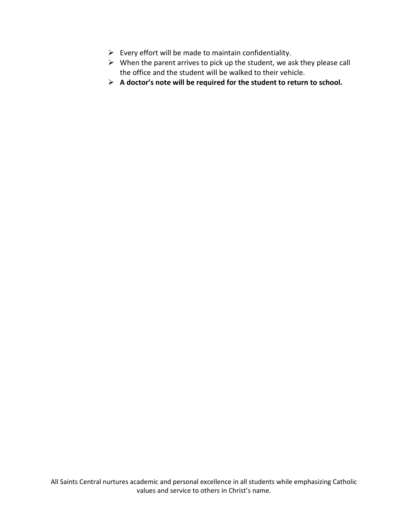- $\triangleright$  Every effort will be made to maintain confidentiality.
- $\triangleright$  When the parent arrives to pick up the student, we ask they please call the office and the student will be walked to their vehicle.
- ➢ **A doctor's note will be required for the student to return to school.**